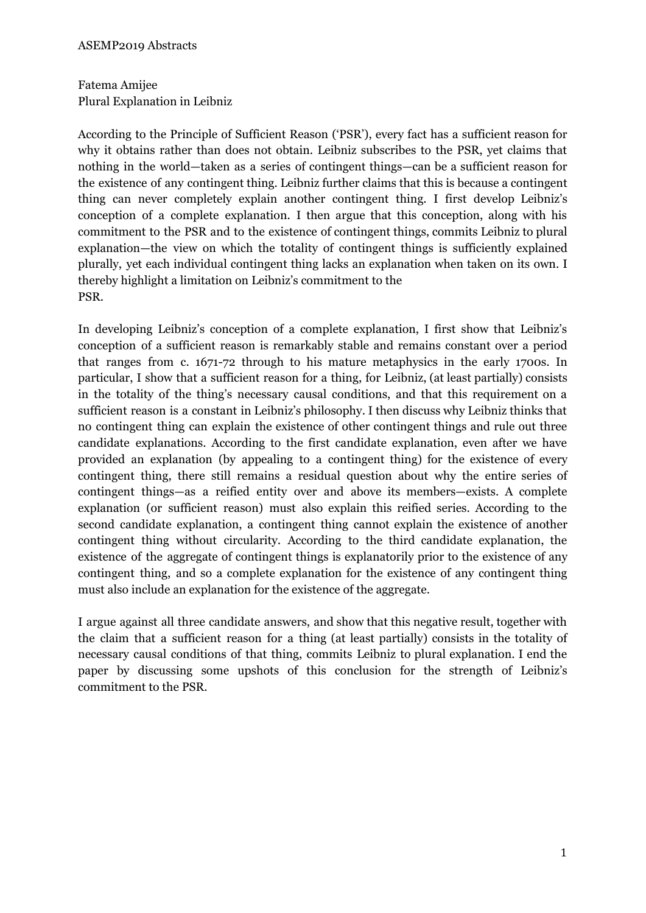Fatema Amijee Plural Explanation in Leibniz

According to the Principle of Sufficient Reason ('PSR'), every fact has a sufficient reason for why it obtains rather than does not obtain. Leibniz subscribes to the PSR, yet claims that nothing in the world—taken as a series of contingent things—can be a sufficient reason for the existence of any contingent thing. Leibniz further claims that this is because a contingent thing can never completely explain another contingent thing. I first develop Leibniz's conception of a complete explanation. I then argue that this conception, along with his commitment to the PSR and to the existence of contingent things, commits Leibniz to plural explanation—the view on which the totality of contingent things is sufficiently explained plurally, yet each individual contingent thing lacks an explanation when taken on its own. I thereby highlight a limitation on Leibniz's commitment to the PSR.

In developing Leibniz's conception of a complete explanation, I first show that Leibniz's conception of a sufficient reason is remarkably stable and remains constant over a period that ranges from c. 1671-72 through to his mature metaphysics in the early 1700s. In particular, I show that a sufficient reason for a thing, for Leibniz, (at least partially) consists in the totality of the thing's necessary causal conditions, and that this requirement on a sufficient reason is a constant in Leibniz's philosophy. I then discuss why Leibniz thinks that no contingent thing can explain the existence of other contingent things and rule out three candidate explanations. According to the first candidate explanation, even after we have provided an explanation (by appealing to a contingent thing) for the existence of every contingent thing, there still remains a residual question about why the entire series of contingent things—as a reified entity over and above its members—exists. A complete explanation (or sufficient reason) must also explain this reified series. According to the second candidate explanation, a contingent thing cannot explain the existence of another contingent thing without circularity. According to the third candidate explanation, the existence of the aggregate of contingent things is explanatorily prior to the existence of any contingent thing, and so a complete explanation for the existence of any contingent thing must also include an explanation for the existence of the aggregate.

I argue against all three candidate answers, and show that this negative result, together with the claim that a sufficient reason for a thing (at least partially) consists in the totality of necessary causal conditions of that thing, commits Leibniz to plural explanation. I end the paper by discussing some upshots of this conclusion for the strength of Leibniz's commitment to the PSR.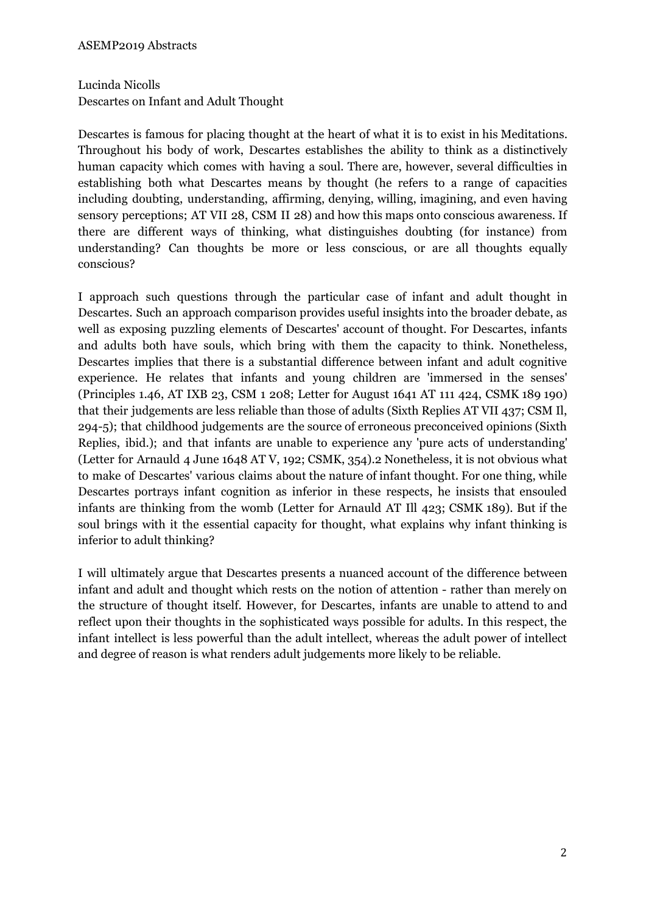Lucinda Nicolls Descartes on Infant and Adult Thought

Descartes is famous for placing thought at the heart of what it is to exist in his Meditations. Throughout his body of work, Descartes establishes the ability to think as a distinctively human capacity which comes with having a soul. There are, however, several difficulties in establishing both what Descartes means by thought (he refers to a range of capacities including doubting, understanding, affirming, denying, willing, imagining, and even having sensory perceptions; AT VII 28, CSM II 28) and how this maps onto conscious awareness. If there are different ways of thinking, what distinguishes doubting (for instance) from understanding? Can thoughts be more or less conscious, or are all thoughts equally conscious?

I approach such questions through the particular case of infant and adult thought in Descartes. Such an approach comparison provides useful insights into the broader debate, as well as exposing puzzling elements of Descartes' account of thought. For Descartes, infants and adults both have souls, which bring with them the capacity to think. Nonetheless, Descartes implies that there is a substantial difference between infant and adult cognitive experience. He relates that infants and young children are 'immersed in the senses' (Principles 1.46, AT IXB 23, CSM 1 208; Letter for August 1641 AT 111 424, CSMK 189 190) that their judgements are less reliable than those of adults (Sixth Replies AT VII 437; CSM Il, 294-5); that childhood judgements are the source of erroneous preconceived opinions (Sixth Replies, ibid.); and that infants are unable to experience any 'pure acts of understanding' (Letter for Arnauld 4 June 1648 AT V, 192; CSMK, 354).2 Nonetheless, it is not obvious what to make of Descartes' various claims about the nature of infant thought. For one thing, while Descartes portrays infant cognition as inferior in these respects, he insists that ensouled infants are thinking from the womb (Letter for Arnauld AT Ill 423; CSMK 189). But if the soul brings with it the essential capacity for thought, what explains why infant thinking is inferior to adult thinking?

I will ultimately argue that Descartes presents a nuanced account of the difference between infant and adult and thought which rests on the notion of attention - rather than merely on the structure of thought itself. However, for Descartes, infants are unable to attend to and reflect upon their thoughts in the sophisticated ways possible for adults. In this respect, the infant intellect is less powerful than the adult intellect, whereas the adult power of intellect and degree of reason is what renders adult judgements more likely to be reliable.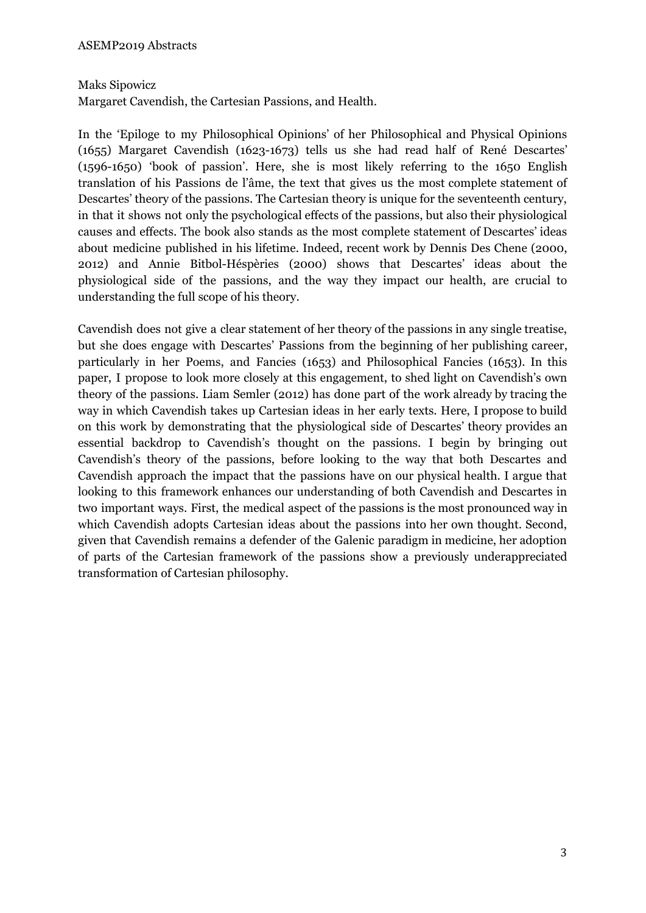Maks Sipowicz

Margaret Cavendish, the Cartesian Passions, and Health.

In the 'Epiloge to my Philosophical Opinions' of her Philosophical and Physical Opinions (1655) Margaret Cavendish (1623-1673) tells us she had read half of René Descartes' (1596-1650) 'book of passion'. Here, she is most likely referring to the 1650 English translation of his Passions de l'âme, the text that gives us the most complete statement of Descartes' theory of the passions. The Cartesian theory is unique for the seventeenth century, in that it shows not only the psychological effects of the passions, but also their physiological causes and effects. The book also stands as the most complete statement of Descartes' ideas about medicine published in his lifetime. Indeed, recent work by Dennis Des Chene (2000, 2012) and Annie Bitbol-Héspèries (2000) shows that Descartes' ideas about the physiological side of the passions, and the way they impact our health, are crucial to understanding the full scope of his theory.

Cavendish does not give a clear statement of her theory of the passions in any single treatise, but she does engage with Descartes' Passions from the beginning of her publishing career, particularly in her Poems, and Fancies (1653) and Philosophical Fancies (1653). In this paper, I propose to look more closely at this engagement, to shed light on Cavendish's own theory of the passions. Liam Semler (2012) has done part of the work already by tracing the way in which Cavendish takes up Cartesian ideas in her early texts. Here, I propose to build on this work by demonstrating that the physiological side of Descartes' theory provides an essential backdrop to Cavendish's thought on the passions. I begin by bringing out Cavendish's theory of the passions, before looking to the way that both Descartes and Cavendish approach the impact that the passions have on our physical health. I argue that looking to this framework enhances our understanding of both Cavendish and Descartes in two important ways. First, the medical aspect of the passions is the most pronounced way in which Cavendish adopts Cartesian ideas about the passions into her own thought. Second, given that Cavendish remains a defender of the Galenic paradigm in medicine, her adoption of parts of the Cartesian framework of the passions show a previously underappreciated transformation of Cartesian philosophy.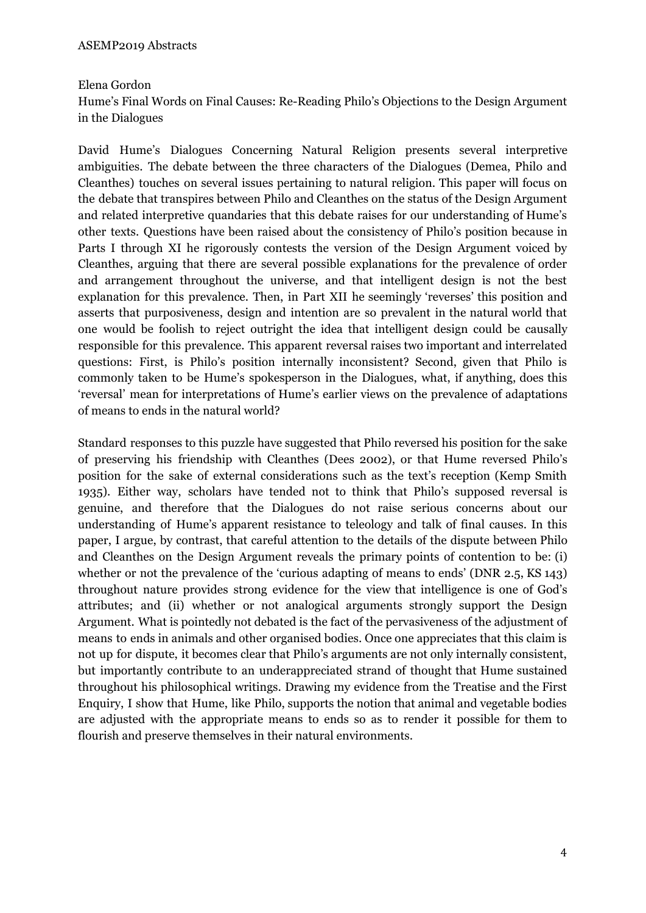#### Elena Gordon

Hume's Final Words on Final Causes: Re-Reading Philo's Objections to the Design Argument in the Dialogues

David Hume's Dialogues Concerning Natural Religion presents several interpretive ambiguities. The debate between the three characters of the Dialogues (Demea, Philo and Cleanthes) touches on several issues pertaining to natural religion. This paper will focus on the debate that transpires between Philo and Cleanthes on the status of the Design Argument and related interpretive quandaries that this debate raises for our understanding of Hume's other texts. Questions have been raised about the consistency of Philo's position because in Parts I through XI he rigorously contests the version of the Design Argument voiced by Cleanthes, arguing that there are several possible explanations for the prevalence of order and arrangement throughout the universe, and that intelligent design is not the best explanation for this prevalence. Then, in Part XII he seemingly 'reverses' this position and asserts that purposiveness, design and intention are so prevalent in the natural world that one would be foolish to reject outright the idea that intelligent design could be causally responsible for this prevalence. This apparent reversal raises two important and interrelated questions: First, is Philo's position internally inconsistent? Second, given that Philo is commonly taken to be Hume's spokesperson in the Dialogues, what, if anything, does this 'reversal' mean for interpretations of Hume's earlier views on the prevalence of adaptations of means to ends in the natural world?

Standard responses to this puzzle have suggested that Philo reversed his position for the sake of preserving his friendship with Cleanthes (Dees 2002), or that Hume reversed Philo's position for the sake of external considerations such as the text's reception (Kemp Smith 1935). Either way, scholars have tended not to think that Philo's supposed reversal is genuine, and therefore that the Dialogues do not raise serious concerns about our understanding of Hume's apparent resistance to teleology and talk of final causes. In this paper, I argue, by contrast, that careful attention to the details of the dispute between Philo and Cleanthes on the Design Argument reveals the primary points of contention to be: (i) whether or not the prevalence of the 'curious adapting of means to ends' (DNR 2.5, KS 143) throughout nature provides strong evidence for the view that intelligence is one of God's attributes; and (ii) whether or not analogical arguments strongly support the Design Argument. What is pointedly not debated is the fact of the pervasiveness of the adjustment of means to ends in animals and other organised bodies. Once one appreciates that this claim is not up for dispute, it becomes clear that Philo's arguments are not only internally consistent, but importantly contribute to an underappreciated strand of thought that Hume sustained throughout his philosophical writings. Drawing my evidence from the Treatise and the First Enquiry, I show that Hume, like Philo, supports the notion that animal and vegetable bodies are adjusted with the appropriate means to ends so as to render it possible for them to flourish and preserve themselves in their natural environments.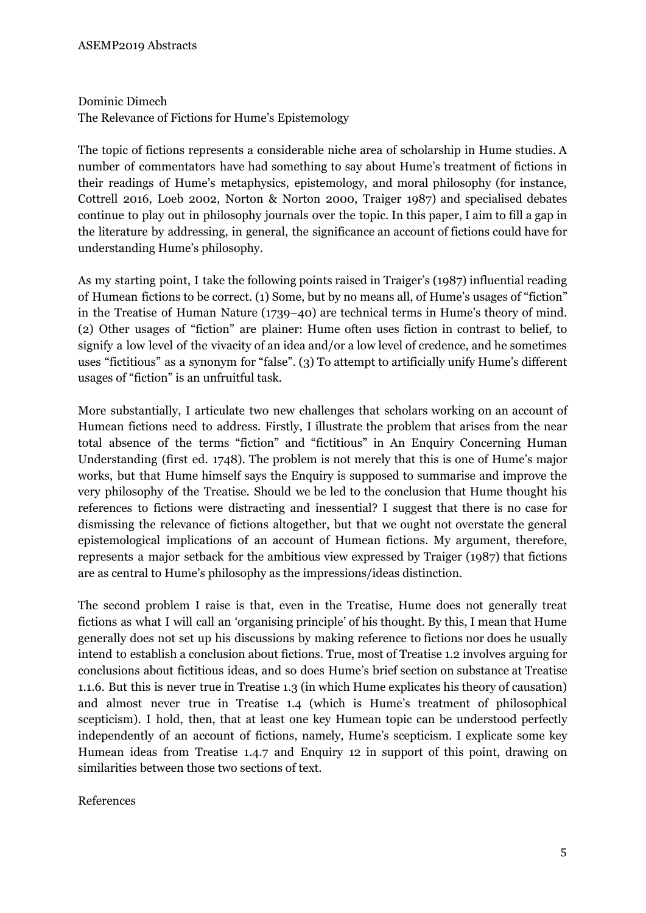# Dominic Dimech The Relevance of Fictions for Hume's Epistemology

The topic of fictions represents a considerable niche area of scholarship in Hume studies. A number of commentators have had something to say about Hume's treatment of fictions in their readings of Hume's metaphysics, epistemology, and moral philosophy (for instance, Cottrell 2016, Loeb 2002, Norton & Norton 2000, Traiger 1987) and specialised debates continue to play out in philosophy journals over the topic. In this paper, I aim to fill a gap in the literature by addressing, in general, the significance an account of fictions could have for understanding Hume's philosophy.

As my starting point, I take the following points raised in Traiger's (1987) influential reading of Humean fictions to be correct. (1) Some, but by no means all, of Hume's usages of "fiction" in the Treatise of Human Nature (1739–40) are technical terms in Hume's theory of mind. (2) Other usages of "fiction" are plainer: Hume often uses fiction in contrast to belief, to signify a low level of the vivacity of an idea and/or a low level of credence, and he sometimes uses "fictitious" as a synonym for "false". (3) To attempt to artificially unify Hume's different usages of "fiction" is an unfruitful task.

More substantially, I articulate two new challenges that scholars working on an account of Humean fictions need to address. Firstly, I illustrate the problem that arises from the near total absence of the terms "fiction" and "fictitious" in An Enquiry Concerning Human Understanding (first ed. 1748). The problem is not merely that this is one of Hume's major works, but that Hume himself says the Enquiry is supposed to summarise and improve the very philosophy of the Treatise. Should we be led to the conclusion that Hume thought his references to fictions were distracting and inessential? I suggest that there is no case for dismissing the relevance of fictions altogether, but that we ought not overstate the general epistemological implications of an account of Humean fictions. My argument, therefore, represents a major setback for the ambitious view expressed by Traiger (1987) that fictions are as central to Hume's philosophy as the impressions/ideas distinction.

The second problem I raise is that, even in the Treatise, Hume does not generally treat fictions as what I will call an 'organising principle' of his thought. By this, I mean that Hume generally does not set up his discussions by making reference to fictions nor does he usually intend to establish a conclusion about fictions. True, most of Treatise 1.2 involves arguing for conclusions about fictitious ideas, and so does Hume's brief section on substance at Treatise 1.1.6. But this is never true in Treatise 1.3 (in which Hume explicates his theory of causation) and almost never true in Treatise 1.4 (which is Hume's treatment of philosophical scepticism). I hold, then, that at least one key Humean topic can be understood perfectly independently of an account of fictions, namely, Hume's scepticism. I explicate some key Humean ideas from Treatise 1.4.7 and Enquiry 12 in support of this point, drawing on similarities between those two sections of text.

#### References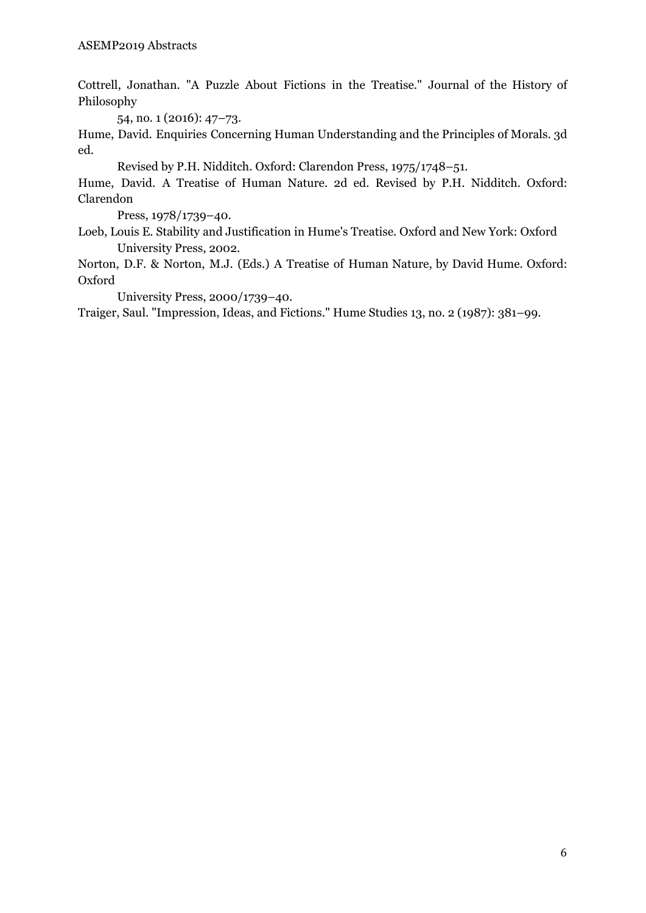Cottrell, Jonathan. "A Puzzle About Fictions in the Treatise." Journal of the History of Philosophy

54, no. 1 (2016): 47–73.

Hume, David. Enquiries Concerning Human Understanding and the Principles of Morals. 3d ed.

Revised by P.H. Nidditch. Oxford: Clarendon Press, 1975/1748–51.

Hume, David. A Treatise of Human Nature. 2d ed. Revised by P.H. Nidditch. Oxford: Clarendon

Press, 1978/1739–40.

Loeb, Louis E. Stability and Justification in Hume's Treatise. Oxford and New York: Oxford University Press, 2002.

Norton, D.F. & Norton, M.J. (Eds.) A Treatise of Human Nature, by David Hume. Oxford: Oxford

University Press, 2000/1739–40.

Traiger, Saul. "Impression, Ideas, and Fictions." Hume Studies 13, no. 2 (1987): 381–99.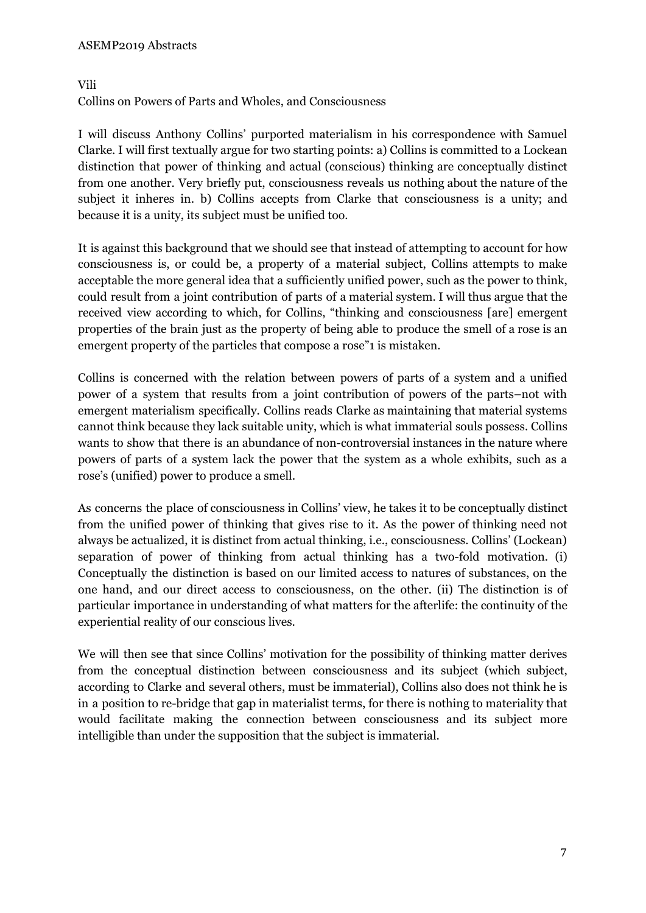#### ASEMP2019 Abstracts

#### Vili

Collins on Powers of Parts and Wholes, and Consciousness

I will discuss Anthony Collins' purported materialism in his correspondence with Samuel Clarke. I will first textually argue for two starting points: a) Collins is committed to a Lockean distinction that power of thinking and actual (conscious) thinking are conceptually distinct from one another. Very briefly put, consciousness reveals us nothing about the nature of the subject it inheres in. b) Collins accepts from Clarke that consciousness is a unity; and because it is a unity, its subject must be unified too.

It is against this background that we should see that instead of attempting to account for how consciousness is, or could be, a property of a material subject, Collins attempts to make acceptable the more general idea that a sufficiently unified power, such as the power to think, could result from a joint contribution of parts of a material system. I will thus argue that the received view according to which, for Collins, "thinking and consciousness [are] emergent properties of the brain just as the property of being able to produce the smell of a rose is an emergent property of the particles that compose a rose"1 is mistaken.

Collins is concerned with the relation between powers of parts of a system and a unified power of a system that results from a joint contribution of powers of the parts–not with emergent materialism specifically. Collins reads Clarke as maintaining that material systems cannot think because they lack suitable unity, which is what immaterial souls possess. Collins wants to show that there is an abundance of non-controversial instances in the nature where powers of parts of a system lack the power that the system as a whole exhibits, such as a rose's (unified) power to produce a smell.

As concerns the place of consciousness in Collins' view, he takes it to be conceptually distinct from the unified power of thinking that gives rise to it. As the power of thinking need not always be actualized, it is distinct from actual thinking, i.e., consciousness. Collins' (Lockean) separation of power of thinking from actual thinking has a two-fold motivation. (i) Conceptually the distinction is based on our limited access to natures of substances, on the one hand, and our direct access to consciousness, on the other. (ii) The distinction is of particular importance in understanding of what matters for the afterlife: the continuity of the experiential reality of our conscious lives.

We will then see that since Collins' motivation for the possibility of thinking matter derives from the conceptual distinction between consciousness and its subject (which subject, according to Clarke and several others, must be immaterial), Collins also does not think he is in a position to re-bridge that gap in materialist terms, for there is nothing to materiality that would facilitate making the connection between consciousness and its subject more intelligible than under the supposition that the subject is immaterial.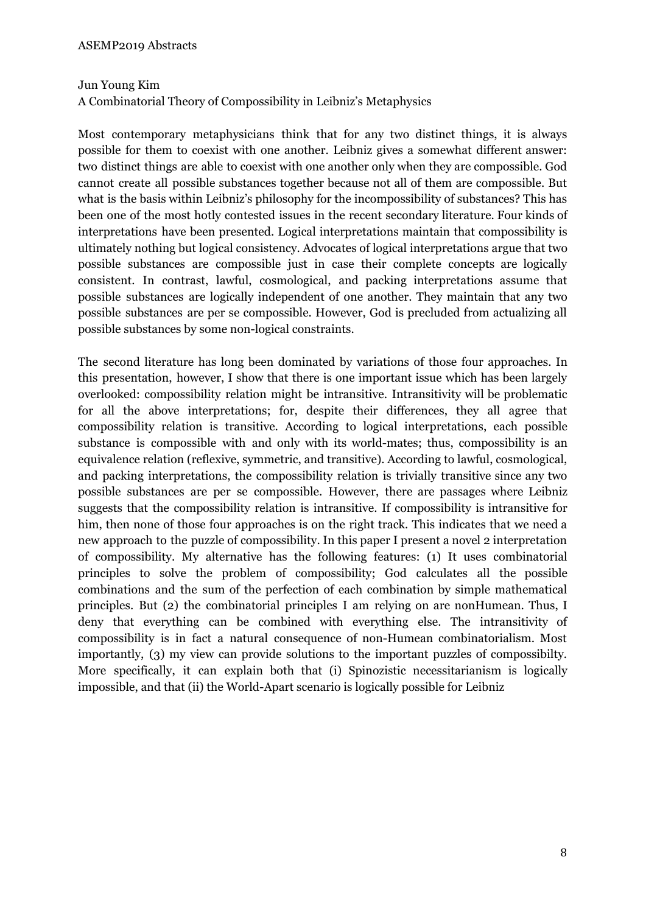# Jun Young Kim

A Combinatorial Theory of Compossibility in Leibniz's Metaphysics

Most contemporary metaphysicians think that for any two distinct things, it is always possible for them to coexist with one another. Leibniz gives a somewhat different answer: two distinct things are able to coexist with one another only when they are compossible. God cannot create all possible substances together because not all of them are compossible. But what is the basis within Leibniz's philosophy for the incompossibility of substances? This has been one of the most hotly contested issues in the recent secondary literature. Four kinds of interpretations have been presented. Logical interpretations maintain that compossibility is ultimately nothing but logical consistency. Advocates of logical interpretations argue that two possible substances are compossible just in case their complete concepts are logically consistent. In contrast, lawful, cosmological, and packing interpretations assume that possible substances are logically independent of one another. They maintain that any two possible substances are per se compossible. However, God is precluded from actualizing all possible substances by some non-logical constraints.

The second literature has long been dominated by variations of those four approaches. In this presentation, however, I show that there is one important issue which has been largely overlooked: compossibility relation might be intransitive. Intransitivity will be problematic for all the above interpretations; for, despite their differences, they all agree that compossibility relation is transitive. According to logical interpretations, each possible substance is compossible with and only with its world-mates; thus, compossibility is an equivalence relation (reflexive, symmetric, and transitive). According to lawful, cosmological, and packing interpretations, the compossibility relation is trivially transitive since any two possible substances are per se compossible. However, there are passages where Leibniz suggests that the compossibility relation is intransitive. If compossibility is intransitive for him, then none of those four approaches is on the right track. This indicates that we need a new approach to the puzzle of compossibility. In this paper I present a novel 2 interpretation of compossibility. My alternative has the following features: (1) It uses combinatorial principles to solve the problem of compossibility; God calculates all the possible combinations and the sum of the perfection of each combination by simple mathematical principles. But (2) the combinatorial principles I am relying on are nonHumean. Thus, I deny that everything can be combined with everything else. The intransitivity of compossibility is in fact a natural consequence of non-Humean combinatorialism. Most importantly, (3) my view can provide solutions to the important puzzles of compossibilty. More specifically, it can explain both that (i) Spinozistic necessitarianism is logically impossible, and that (ii) the World-Apart scenario is logically possible for Leibniz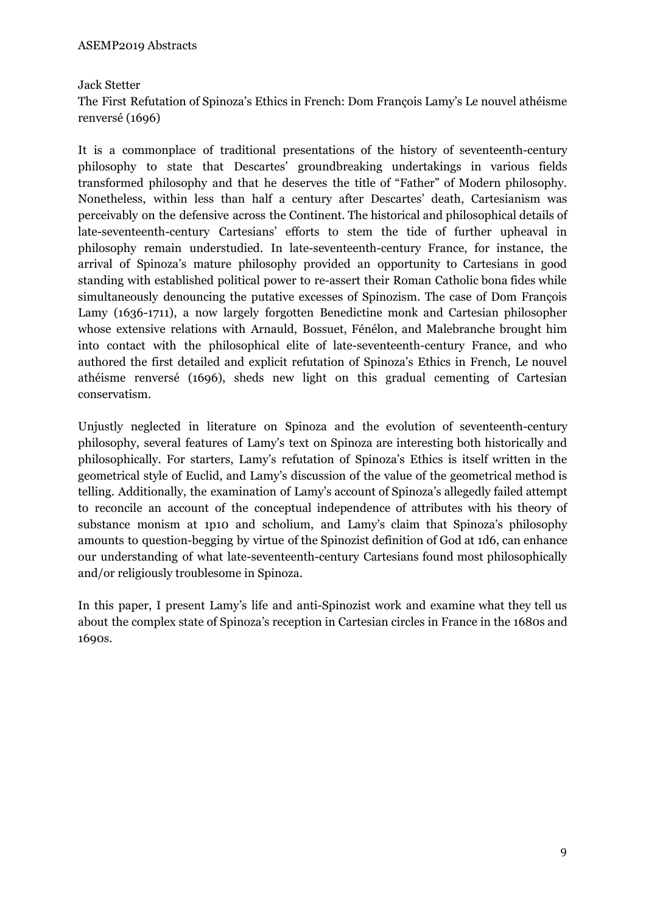# Jack Stetter

The First Refutation of Spinoza's Ethics in French: Dom François Lamy's Le nouvel athéisme renversé (1696)

It is a commonplace of traditional presentations of the history of seventeenth-century philosophy to state that Descartes' groundbreaking undertakings in various fields transformed philosophy and that he deserves the title of "Father" of Modern philosophy. Nonetheless, within less than half a century after Descartes' death, Cartesianism was perceivably on the defensive across the Continent. The historical and philosophical details of late-seventeenth-century Cartesians' efforts to stem the tide of further upheaval in philosophy remain understudied. In late-seventeenth-century France, for instance, the arrival of Spinoza's mature philosophy provided an opportunity to Cartesians in good standing with established political power to re-assert their Roman Catholic bona fides while simultaneously denouncing the putative excesses of Spinozism. The case of Dom François Lamy (1636-1711), a now largely forgotten Benedictine monk and Cartesian philosopher whose extensive relations with Arnauld, Bossuet, Fénélon, and Malebranche brought him into contact with the philosophical elite of late-seventeenth-century France, and who authored the first detailed and explicit refutation of Spinoza's Ethics in French, Le nouvel athéisme renversé (1696), sheds new light on this gradual cementing of Cartesian conservatism.

Unjustly neglected in literature on Spinoza and the evolution of seventeenth-century philosophy, several features of Lamy's text on Spinoza are interesting both historically and philosophically. For starters, Lamy's refutation of Spinoza's Ethics is itself written in the geometrical style of Euclid, and Lamy's discussion of the value of the geometrical method is telling. Additionally, the examination of Lamy's account of Spinoza's allegedly failed attempt to reconcile an account of the conceptual independence of attributes with his theory of substance monism at 1p10 and scholium, and Lamy's claim that Spinoza's philosophy amounts to question-begging by virtue of the Spinozist definition of God at 1d6, can enhance our understanding of what late-seventeenth-century Cartesians found most philosophically and/or religiously troublesome in Spinoza.

In this paper, I present Lamy's life and anti-Spinozist work and examine what they tell us about the complex state of Spinoza's reception in Cartesian circles in France in the 1680s and 1690s.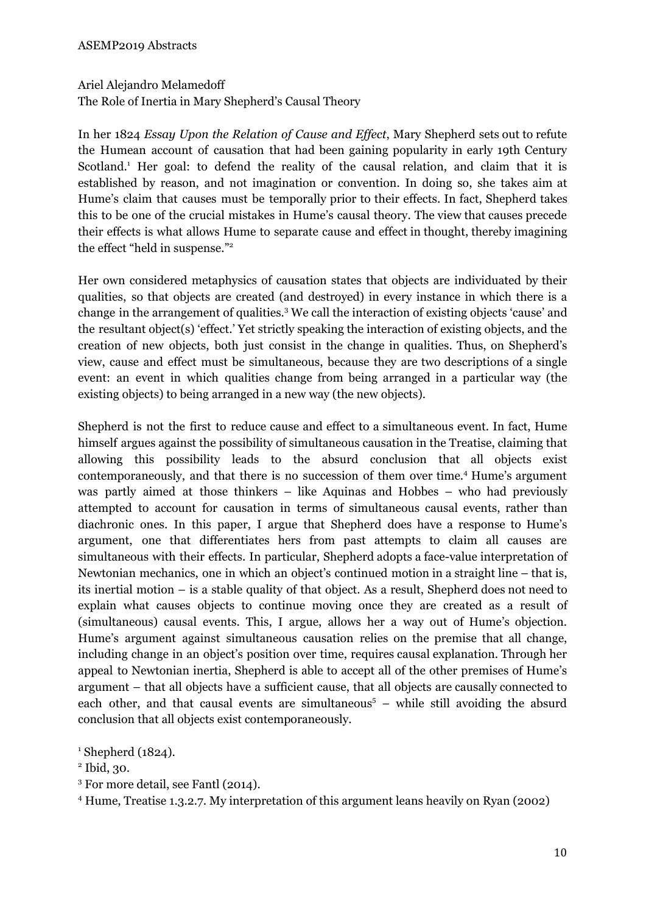# Ariel Alejandro Melamedoff

The Role of Inertia in Mary Shepherd's Causal Theory

In her 1824 *Essay Upon the Relation of Cause and Ef ect*, Mary Shepherd sets out to refute the Humean account of causation that had been gaining popularity in early 19th Century Scotland.<sup>1</sup> Her goal: to defend the reality of the causal relation, and claim that it is established by reason, and not imagination or convention. In doing so, she takes aim at Hume's claim that causes must be temporally prior to their effects. In fact, Shepherd takes this to be one of the crucial mistakes in Hume's causal theory. The view that causes precede their effects is what allows Hume to separate cause and effect in thought, thereby imagining the effect "held in suspense." 2

Her own considered metaphysics of causation states that objects are individuated by their qualities, so that objects are created (and destroyed) in every instance in which there is a change in the arrangement of qualities. <sup>3</sup> We call the interaction of existing objects 'cause' and the resultant object(s) 'effect.' Yet strictly speaking the interaction of existing objects, and the creation of new objects, both just consist in the change in qualities. Thus, on Shepherd's view, cause and effect must be simultaneous, because they are two descriptions of a single event: an event in which qualities change from being arranged in a particular way (the existing objects) to being arranged in a new way (the new objects).

Shepherd is not the first to reduce cause and effect to a simultaneous event. In fact, Hume himself argues against the possibility of simultaneous causation in the Treatise, claiming that allowing this possibility leads to the absurd conclusion that all objects exist contemporaneously, and that there is no succession of them over time. <sup>4</sup> Hume's argument was partly aimed at those thinkers – like Aquinas and Hobbes – who had previously attempted to account for causation in terms of simultaneous causal events, rather than diachronic ones. In this paper, I argue that Shepherd does have a response to Hume's argument, one that differentiates hers from past attempts to claim all causes are simultaneous with their effects. In particular, Shepherd adopts a face-value interpretation of Newtonian mechanics, one in which an object's continued motion in a straight line – that is, its inertial motion – is a stable quality of that object. As a result, Shepherd does not need to explain what causes objects to continue moving once they are created as a result of (simultaneous) causal events. This, I argue, allows her a way out of Hume's objection. Hume's argument against simultaneous causation relies on the premise that all change, including change in an object's position over time, requires causal explanation. Through her appeal to Newtonian inertia, Shepherd is able to accept all of the other premises of Hume's argument – that all objects have a sufficient cause, that all objects are causally connected to each other, and that causal events are simultaneous <sup>5</sup> – while still avoiding the absurd conclusion that all objects exist contemporaneously.

<sup>3</sup> For more detail, see Fantl (2014).

<sup>4</sup> Hume, Treatise 1.3.2.7. My interpretation of this argument leans heavily on Ryan (2002)

 $^1$  Shepherd (1824).

<sup>2</sup> Ibid, 30.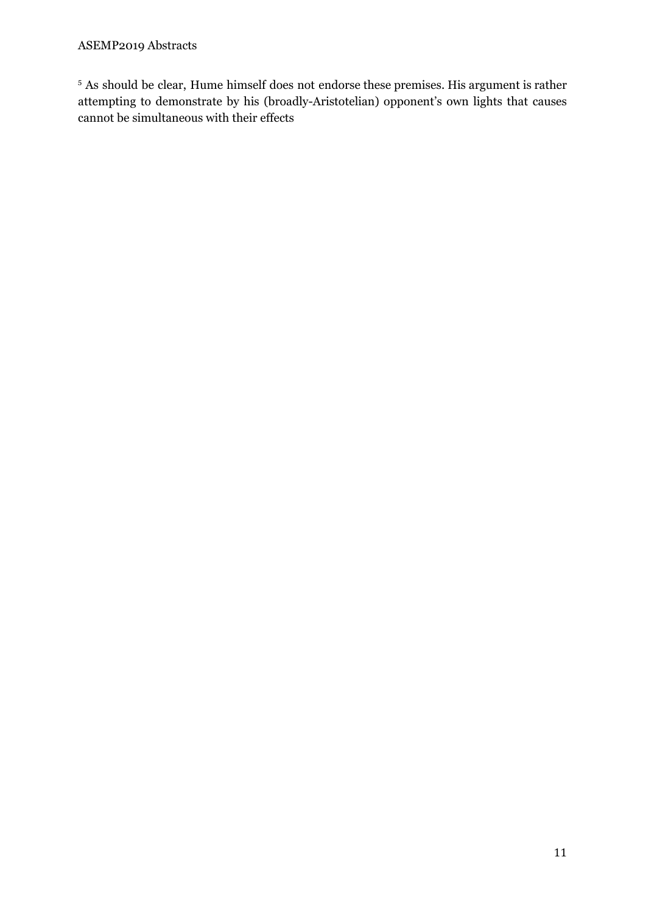# ASEMP2019 Abstracts

<sup>5</sup> As should be clear, Hume himself does not endorse these premises. His argument is rather attempting to demonstrate by his (broadly-Aristotelian) opponent's own lights that causes cannot be simultaneous with their effects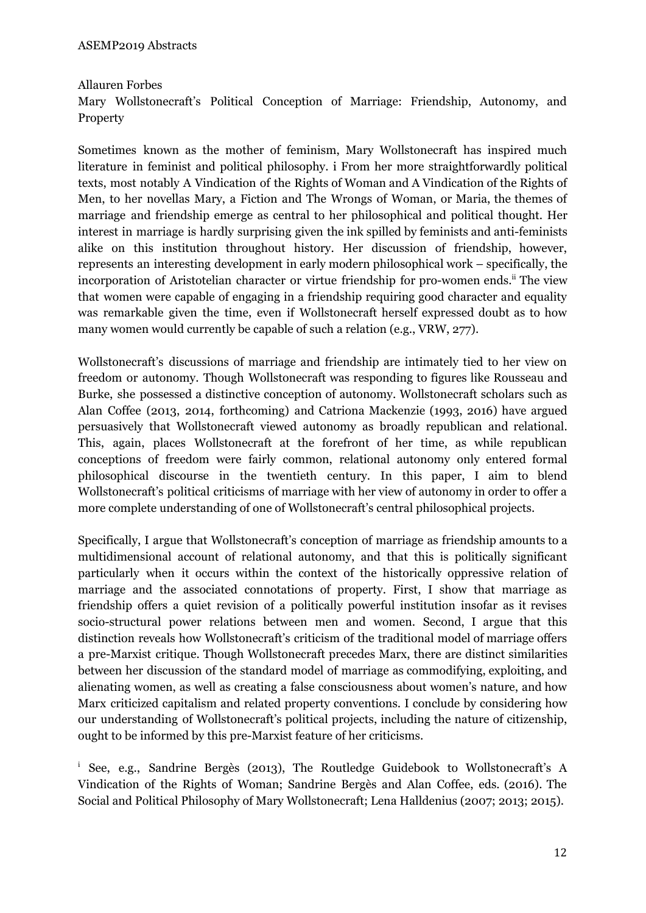Allauren Forbes Mary Wollstonecraft's Political Conception of Marriage: Friendship, Autonomy, and Property

Sometimes known as the mother of feminism, Mary Wollstonecraft has inspired much literature in feminist and political philosophy. i From her more straightforwardly political texts, most notably A Vindication of the Rights of Woman and A Vindication of the Rights of Men, to her novellas Mary, a Fiction and The Wrongs of Woman, or Maria, the themes of marriage and friendship emerge as central to her philosophical and political thought. Her interest in marriage is hardly surprising given the ink spilled by feminists and anti-feminists alike on this institution throughout history. Her discussion of friendship, however, represents an interesting development in early modern philosophical work – specifically, the incorporation of Aristotelian character or virtue friendship for pro-women ends.<sup>ii</sup> The view that women were capable of engaging in a friendship requiring good character and equality was remarkable given the time, even if Wollstonecraft herself expressed doubt as to how many women would currently be capable of such a relation (e.g., VRW, 277).

Wollstonecraft's discussions of marriage and friendship are intimately tied to her view on freedom or autonomy. Though Wollstonecraft was responding to figures like Rousseau and Burke, she possessed a distinctive conception of autonomy. Wollstonecraft scholars such as Alan Coffee (2013, 2014, forthcoming) and Catriona Mackenzie (1993, 2016) have argued persuasively that Wollstonecraft viewed autonomy as broadly republican and relational. This, again, places Wollstonecraft at the forefront of her time, as while republican conceptions of freedom were fairly common, relational autonomy only entered formal philosophical discourse in the twentieth century. In this paper, I aim to blend Wollstonecraft's political criticisms of marriage with her view of autonomy in order to offer a more complete understanding of one of Wollstonecraft's central philosophical projects.

Specifically, I argue that Wollstonecraft's conception of marriage as friendship amounts to a multidimensional account of relational autonomy, and that this is politically significant particularly when it occurs within the context of the historically oppressive relation of marriage and the associated connotations of property. First, I show that marriage as friendship offers a quiet revision of a politically powerful institution insofar as it revises socio-structural power relations between men and women. Second, I argue that this distinction reveals how Wollstonecraft's criticism of the traditional model of marriage offers a pre-Marxist critique. Though Wollstonecraft precedes Marx, there are distinct similarities between her discussion of the standard model of marriage as commodifying, exploiting, and alienating women, as well as creating a false consciousness about women's nature, and how Marx criticized capitalism and related property conventions. I conclude by considering how our understanding of Wollstonecraft's political projects, including the nature of citizenship, ought to be informed by this pre-Marxist feature of her criticisms.

<sup>i</sup> See, e.g., Sandrine Bergès (2013), The Routledge Guidebook to Wollstonecraft's A Vindication of the Rights of Woman; Sandrine Bergès and Alan Coffee, eds. (2016). The Social and Political Philosophy of Mary Wollstonecraft; Lena Halldenius (2007; 2013; 2015).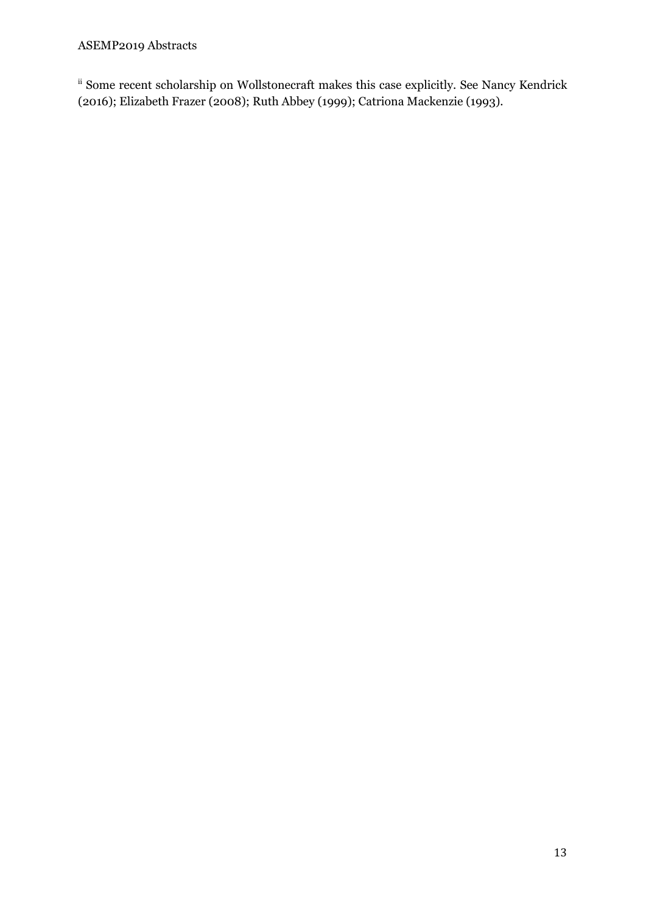# ASEMP2019 Abstracts

ii Some recent scholarship on Wollstonecraft makes this case explicitly. See Nancy Kendrick (2016); Elizabeth Frazer (2008); Ruth Abbey (1999); Catriona Mackenzie (1993).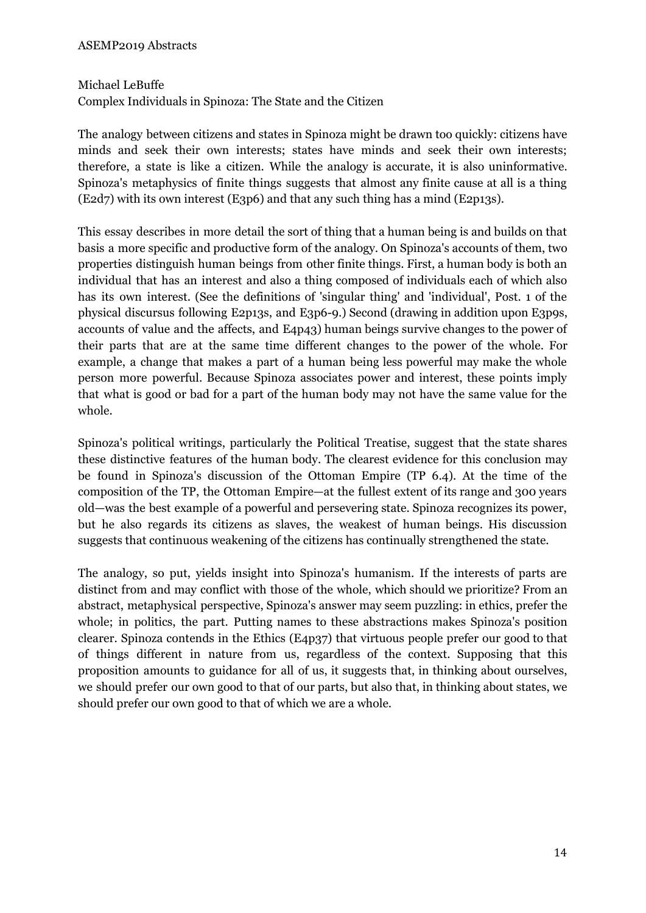#### Michael LeBuffe

Complex Individuals in Spinoza: The State and the Citizen

The analogy between citizens and states in Spinoza might be drawn too quickly: citizens have minds and seek their own interests; states have minds and seek their own interests; therefore, a state is like a citizen. While the analogy is accurate, it is also uninformative. Spinoza's metaphysics of finite things suggests that almost any finite cause at all is a thing (E2d7) with its own interest (E3p6) and that any such thing has a mind (E2p13s).

This essay describes in more detail the sort of thing that a human being is and builds on that basis a more specific and productive form of the analogy. On Spinoza's accounts of them, two properties distinguish human beings from other finite things. First, a human body is both an individual that has an interest and also a thing composed of individuals each of which also has its own interest. (See the definitions of 'singular thing' and 'individual', Post. 1 of the physical discursus following E2p13s, and E3p6-9.) Second (drawing in addition upon E3p9s, accounts of value and the affects, and E4p43) human beings survive changes to the power of their parts that are at the same time different changes to the power of the whole. For example, a change that makes a part of a human being less powerful may make the whole person more powerful. Because Spinoza associates power and interest, these points imply that what is good or bad for a part of the human body may not have the same value for the whole.

Spinoza's political writings, particularly the Political Treatise, suggest that the state shares these distinctive features of the human body. The clearest evidence for this conclusion may be found in Spinoza's discussion of the Ottoman Empire (TP 6.4). At the time of the composition of the TP, the Ottoman Empire—at the fullest extent of its range and 300 years old—was the best example of a powerful and persevering state. Spinoza recognizes its power, but he also regards its citizens as slaves, the weakest of human beings. His discussion suggests that continuous weakening of the citizens has continually strengthened the state.

The analogy, so put, yields insight into Spinoza's humanism. If the interests of parts are distinct from and may conflict with those of the whole, which should we prioritize? From an abstract, metaphysical perspective, Spinoza's answer may seem puzzling: in ethics, prefer the whole; in politics, the part. Putting names to these abstractions makes Spinoza's position clearer. Spinoza contends in the Ethics (E4p37) that virtuous people prefer our good to that of things different in nature from us, regardless of the context. Supposing that this proposition amounts to guidance for all of us, it suggests that, in thinking about ourselves, we should prefer our own good to that of our parts, but also that, in thinking about states, we should prefer our own good to that of which we are a whole.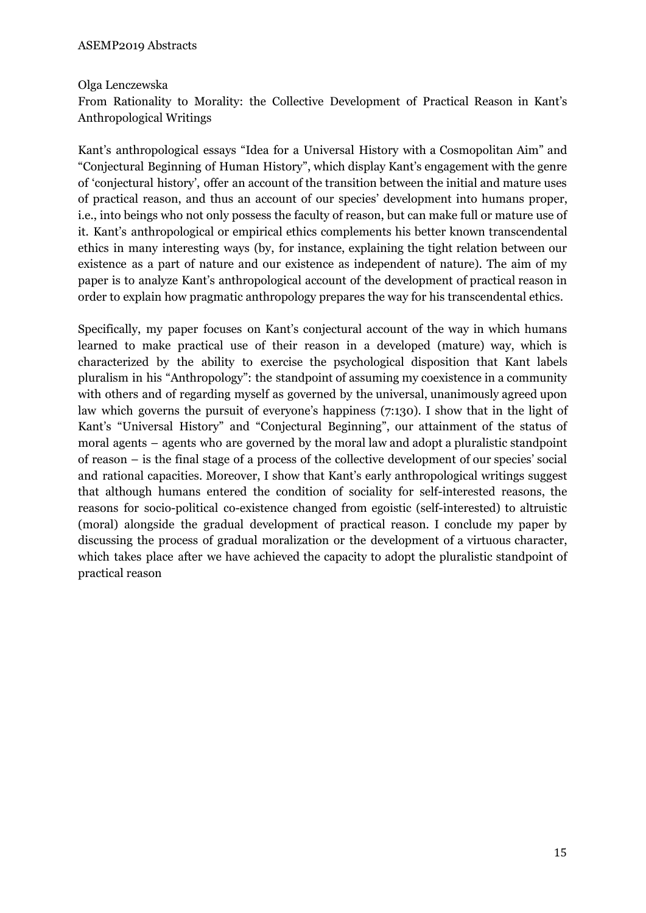#### Olga Lenczewska

From Rationality to Morality: the Collective Development of Practical Reason in Kant's Anthropological Writings

Kant's anthropological essays "Idea for a Universal History with a Cosmopolitan Aim" and "Conjectural Beginning of Human History", which display Kant's engagement with the genre of 'conjectural history', offer an account of the transition between the initial and mature uses of practical reason, and thus an account of our species' development into humans proper, i.e., into beings who not only possess the faculty of reason, but can make full or mature use of it. Kant's anthropological or empirical ethics complements his better known transcendental ethics in many interesting ways (by, for instance, explaining the tight relation between our existence as a part of nature and our existence as independent of nature). The aim of my paper is to analyze Kant's anthropological account of the development of practical reason in order to explain how pragmatic anthropology prepares the way for his transcendental ethics.

Specifically, my paper focuses on Kant's conjectural account of the way in which humans learned to make practical use of their reason in a developed (mature) way, which is characterized by the ability to exercise the psychological disposition that Kant labels pluralism in his "Anthropology": the standpoint of assuming my coexistence in a community with others and of regarding myself as governed by the universal, unanimously agreed upon law which governs the pursuit of everyone's happiness (7:130). I show that in the light of Kant's "Universal History" and "Conjectural Beginning", our attainment of the status of moral agents – agents who are governed by the moral law and adopt a pluralistic standpoint of reason – is the final stage of a process of the collective development of our species' social and rational capacities. Moreover, I show that Kant's early anthropological writings suggest that although humans entered the condition of sociality for self-interested reasons, the reasons for socio-political co-existence changed from egoistic (self-interested) to altruistic (moral) alongside the gradual development of practical reason. I conclude my paper by discussing the process of gradual moralization or the development of a virtuous character, which takes place after we have achieved the capacity to adopt the pluralistic standpoint of practical reason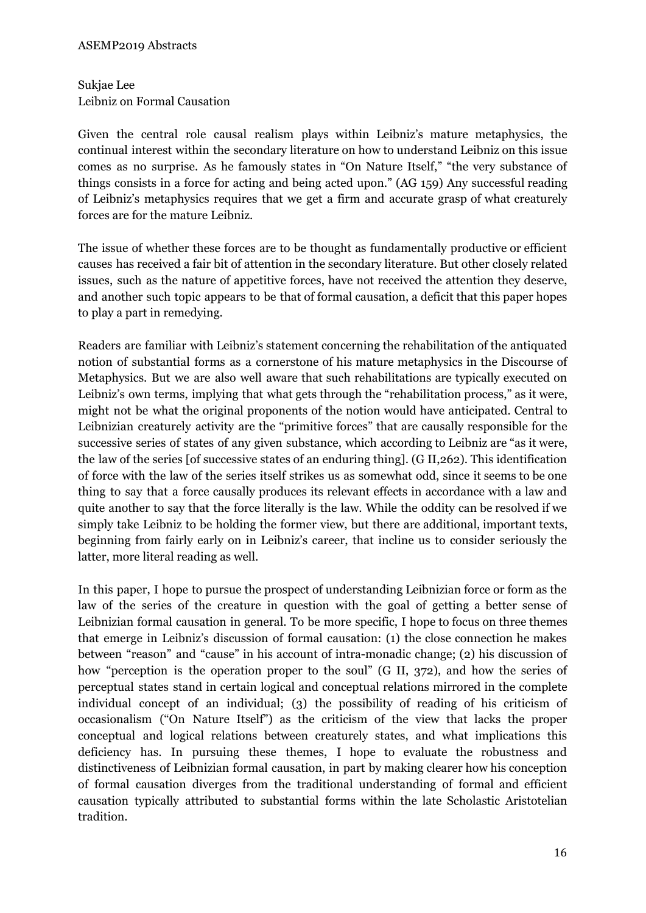Sukjae Lee Leibniz on Formal Causation

Given the central role causal realism plays within Leibniz's mature metaphysics, the continual interest within the secondary literature on how to understand Leibniz on this issue comes as no surprise. As he famously states in "On Nature Itself," "the very substance of things consists in a force for acting and being acted upon." (AG 159) Any successful reading of Leibniz's metaphysics requires that we get a firm and accurate grasp of what creaturely forces are for the mature Leibniz.

The issue of whether these forces are to be thought as fundamentally productive or efficient causes has received a fair bit of attention in the secondary literature. But other closely related issues, such as the nature of appetitive forces, have not received the attention they deserve, and another such topic appears to be that of formal causation, a deficit that this paper hopes to play a part in remedying.

Readers are familiar with Leibniz's statement concerning the rehabilitation of the antiquated notion of substantial forms as a cornerstone of his mature metaphysics in the Discourse of Metaphysics. But we are also well aware that such rehabilitations are typically executed on Leibniz's own terms, implying that what gets through the "rehabilitation process," as it were, might not be what the original proponents of the notion would have anticipated. Central to Leibnizian creaturely activity are the "primitive forces" that are causally responsible for the successive series of states of any given substance, which according to Leibniz are "as it were, the law of the series [of successive states of an enduring thing]. (G II,262). This identification of force with the law of the series itself strikes us as somewhat odd, since it seems to be one thing to say that a force causally produces its relevant effects in accordance with a law and quite another to say that the force literally is the law. While the oddity can be resolved if we simply take Leibniz to be holding the former view, but there are additional, important texts, beginning from fairly early on in Leibniz's career, that incline us to consider seriously the latter, more literal reading as well.

In this paper, I hope to pursue the prospect of understanding Leibnizian force or form as the law of the series of the creature in question with the goal of getting a better sense of Leibnizian formal causation in general. To be more specific, I hope to focus on three themes that emerge in Leibniz's discussion of formal causation: (1) the close connection he makes between "reason" and "cause" in his account of intra-monadic change; (2) his discussion of how "perception is the operation proper to the soul" (G II, 372), and how the series of perceptual states stand in certain logical and conceptual relations mirrored in the complete individual concept of an individual; (3) the possibility of reading of his criticism of occasionalism ("On Nature Itself") as the criticism of the view that lacks the proper conceptual and logical relations between creaturely states, and what implications this deficiency has. In pursuing these themes, I hope to evaluate the robustness and distinctiveness of Leibnizian formal causation, in part by making clearer how his conception of formal causation diverges from the traditional understanding of formal and efficient causation typically attributed to substantial forms within the late Scholastic Aristotelian tradition.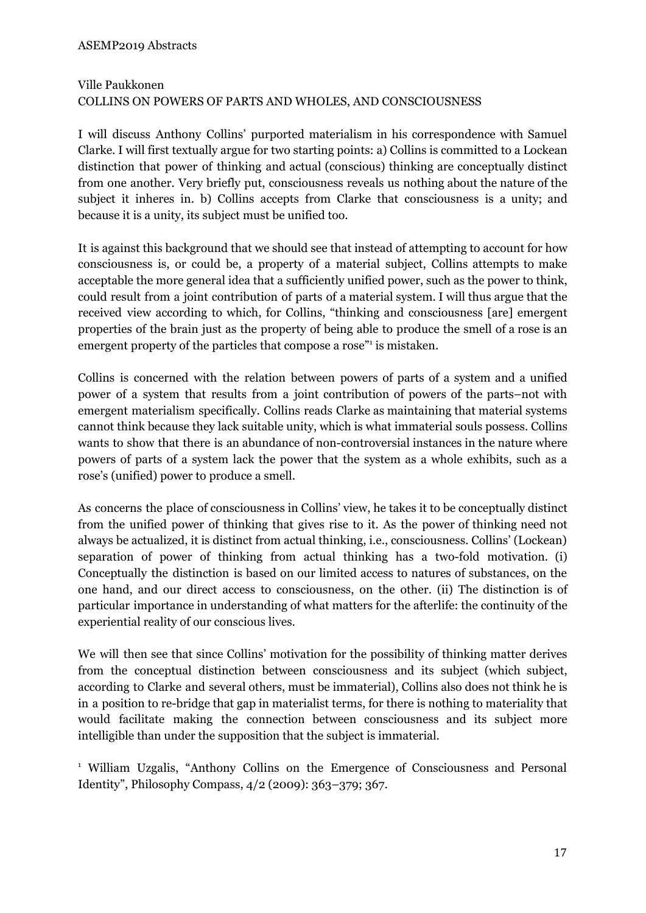# Ville Paukkonen COLLINS ON POWERS OF PARTS AND WHOLES, AND CONSCIOUSNESS

I will discuss Anthony Collins' purported materialism in his correspondence with Samuel Clarke. I will first textually argue for two starting points: a) Collins is committed to a Lockean distinction that power of thinking and actual (conscious) thinking are conceptually distinct from one another. Very briefly put, consciousness reveals us nothing about the nature of the subject it inheres in. b) Collins accepts from Clarke that consciousness is a unity; and because it is a unity, its subject must be unified too.

It is against this background that we should see that instead of attempting to account for how consciousness is, or could be, a property of a material subject, Collins attempts to make acceptable the more general idea that a sufficiently unified power, such as the power to think, could result from a joint contribution of parts of a material system. I will thus argue that the received view according to which, for Collins, "thinking and consciousness [are] emergent properties of the brain just as the property of being able to produce the smell of a rose is an emergent property of the particles that compose a rose" is mistaken.

Collins is concerned with the relation between powers of parts of a system and a unified power of a system that results from a joint contribution of powers of the parts–not with emergent materialism specifically. Collins reads Clarke as maintaining that material systems cannot think because they lack suitable unity, which is what immaterial souls possess. Collins wants to show that there is an abundance of non-controversial instances in the nature where powers of parts of a system lack the power that the system as a whole exhibits, such as a rose's (unified) power to produce a smell.

As concerns the place of consciousness in Collins' view, he takes it to be conceptually distinct from the unified power of thinking that gives rise to it. As the power of thinking need not always be actualized, it is distinct from actual thinking, i.e., consciousness. Collins' (Lockean) separation of power of thinking from actual thinking has a two-fold motivation. (i) Conceptually the distinction is based on our limited access to natures of substances, on the one hand, and our direct access to consciousness, on the other. (ii) The distinction is of particular importance in understanding of what matters for the afterlife: the continuity of the experiential reality of our conscious lives.

We will then see that since Collins' motivation for the possibility of thinking matter derives from the conceptual distinction between consciousness and its subject (which subject, according to Clarke and several others, must be immaterial), Collins also does not think he is in a position to re-bridge that gap in materialist terms, for there is nothing to materiality that would facilitate making the connection between consciousness and its subject more intelligible than under the supposition that the subject is immaterial.

<sup>1</sup> William Uzgalis, "Anthony Collins on the Emergence of Consciousness and Personal Identity", Philosophy Compass, 4/2 (2009): 363–379; 367.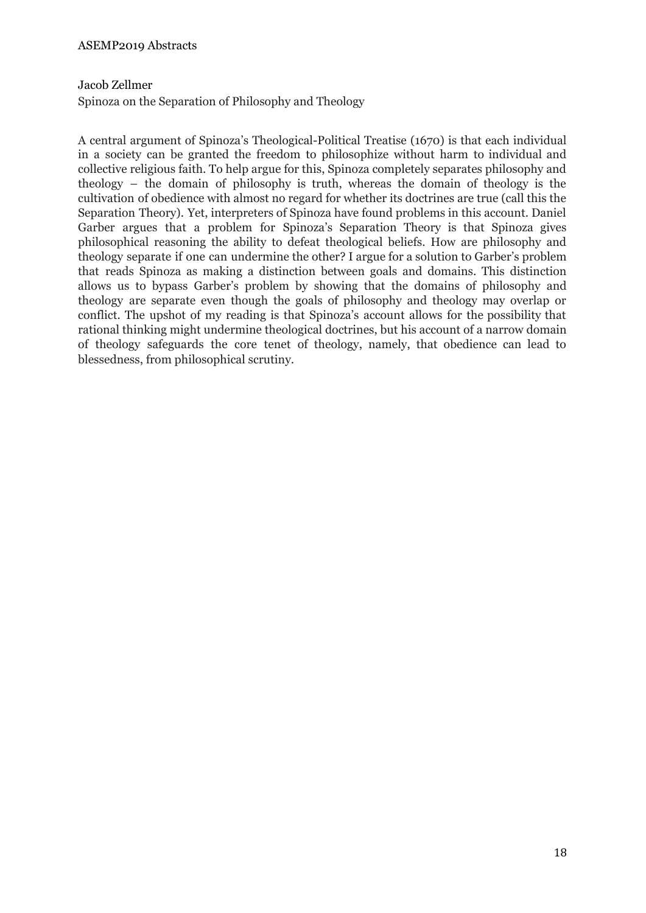# Jacob Zellmer

Spinoza on the Separation of Philosophy and Theology

A central argument of Spinoza's Theological-Political Treatise (1670) is that each individual in a society can be granted the freedom to philosophize without harm to individual and collective religious faith. To help argue for this, Spinoza completely separates philosophy and theology – the domain of philosophy is truth, whereas the domain of theology is the cultivation of obedience with almost no regard for whether its doctrines are true (call this the Separation Theory). Yet, interpreters of Spinoza have found problems in this account. Daniel Garber argues that a problem for Spinoza's Separation Theory is that Spinoza gives philosophical reasoning the ability to defeat theological beliefs. How are philosophy and theology separate if one can undermine the other? I argue for a solution to Garber's problem that reads Spinoza as making a distinction between goals and domains. This distinction allows us to bypass Garber's problem by showing that the domains of philosophy and theology are separate even though the goals of philosophy and theology may overlap or conflict. The upshot of my reading is that Spinoza's account allows for the possibility that rational thinking might undermine theological doctrines, but his account of a narrow domain of theology safeguards the core tenet of theology, namely, that obedience can lead to blessedness, from philosophical scrutiny.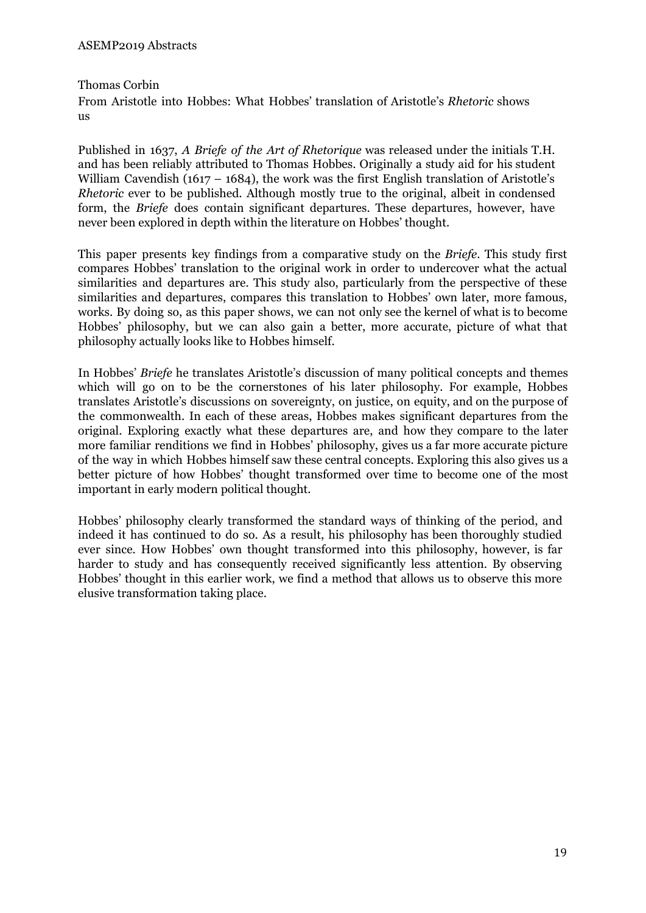Thomas Corbin

From Aristotle into Hobbes: What Hobbes' translation of Aristotle's *Rhetoric* shows us

Published in 1637, *A Briefe of the Art of Rhetorique* was released under the initials T.H. and has been reliably attributed to Thomas Hobbes. Originally a study aid for his student William Cavendish (1617 – 1684), the work was the first English translation of Aristotle's *Rhetoric* ever to be published. Although mostly true to the original, albeit in condensed form, the *Briefe* does contain significant departures. These departures, however, have never been explored in depth within the literature on Hobbes' thought.

This paper presents key findings from a comparative study on the *Briefe*. This study first compares Hobbes' translation to the original work in order to undercover what the actual similarities and departures are. This study also, particularly from the perspective of these similarities and departures, compares this translation to Hobbes' own later, more famous, works. By doing so, as this paper shows, we can not only see the kernel of what is to become Hobbes' philosophy, but we can also gain a better, more accurate, picture of what that philosophy actually looks like to Hobbes himself.

In Hobbes' *Briefe* he translates Aristotle's discussion of many political concepts and themes which will go on to be the cornerstones of his later philosophy. For example, Hobbes translates Aristotle's discussions on sovereignty, on justice, on equity, and on the purpose of the commonwealth. In each of these areas, Hobbes makes significant departures from the original. Exploring exactly what these departures are, and how they compare to the later more familiar renditions we find in Hobbes' philosophy, gives us a far more accurate picture of the way in which Hobbes himself saw these central concepts. Exploring this also gives us a better picture of how Hobbes' thought transformed over time to become one of the most important in early modern political thought.

Hobbes' philosophy clearly transformed the standard ways of thinking of the period, and indeed it has continued to do so. As a result, his philosophy has been thoroughly studied ever since. How Hobbes' own thought transformed into this philosophy, however, is far harder to study and has consequently received significantly less attention. By observing Hobbes' thought in this earlier work, we find a method that allows us to observe this more elusive transformation taking place.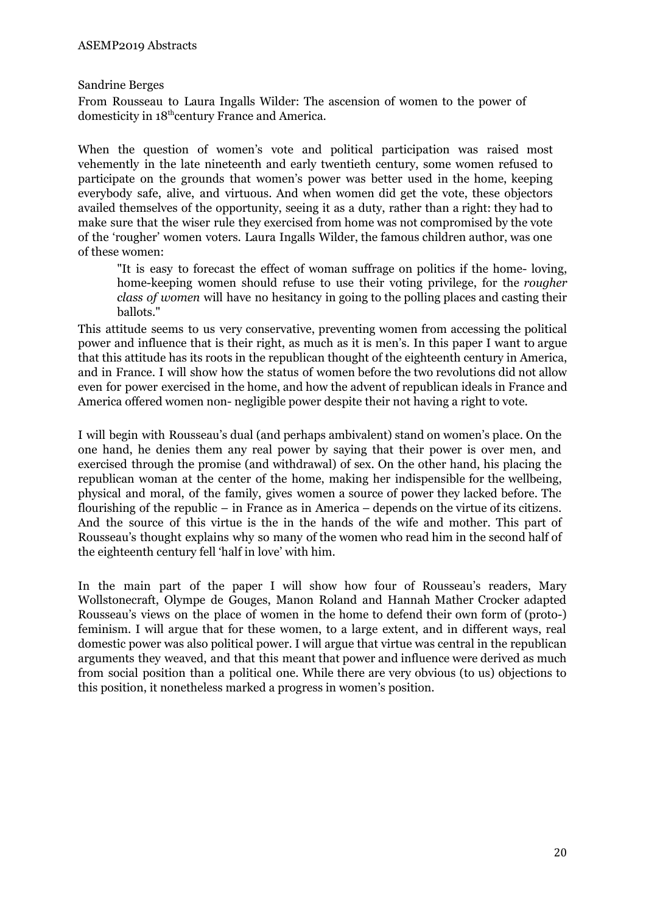Sandrine Berges

From Rousseau to Laura Ingalls Wilder: The ascension of women to the power of domesticity in 18<sup>th</sup>century France and America.

When the question of women's vote and political participation was raised most vehemently in the late nineteenth and early twentieth century, some women refused to participate on the grounds that women's power was better used in the home, keeping everybody safe, alive, and virtuous. And when women did get the vote, these objectors availed themselves of the opportunity, seeing it as a duty, rather than a right: they had to make sure that the wiser rule they exercised from home was not compromised by the vote of the 'rougher' women voters. Laura Ingalls Wilder, the famous children author, was one of these women:

"It is easy to forecast the effect of woman suffrage on politics if the home- loving, home-keeping women should refuse to use their voting privilege, for the *rougher class of women* will have no hesitancy in going to the polling places and casting their ballots."

This attitude seems to us very conservative, preventing women from accessing the political power and influence that is their right, as much as it is men's. In this paper I want to argue that this attitude has its roots in the republican thought of the eighteenth century in America, and in France. I will show how the status of women before the two revolutions did not allow even for power exercised in the home, and how the advent of republican ideals in France and America offered women non- negligible power despite their not having a right to vote.

I will begin with Rousseau's dual (and perhaps ambivalent) stand on women's place. On the one hand, he denies them any real power by saying that their power is over men, and exercised through the promise (and withdrawal) of sex. On the other hand, his placing the republican woman at the center of the home, making her indispensible for the wellbeing, physical and moral, of the family, gives women a source of power they lacked before. The flourishing of the republic – in France as in America – depends on the virtue of its citizens. And the source of this virtue is the in the hands of the wife and mother. This part of Rousseau's thought explains why so many of the women who read him in the second half of the eighteenth century fell 'half in love' with him.

In the main part of the paper I will show how four of Rousseau's readers, Mary Wollstonecraft, Olympe de Gouges, Manon Roland and Hannah Mather Crocker adapted Rousseau's views on the place of women in the home to defend their own form of (proto-) feminism. I will argue that for these women, to a large extent, and in different ways, real domestic power was also political power. I will argue that virtue was central in the republican arguments they weaved, and that this meant that power and influence were derived as much from social position than a political one. While there are very obvious (to us) objections to this position, it nonetheless marked a progress in women's position.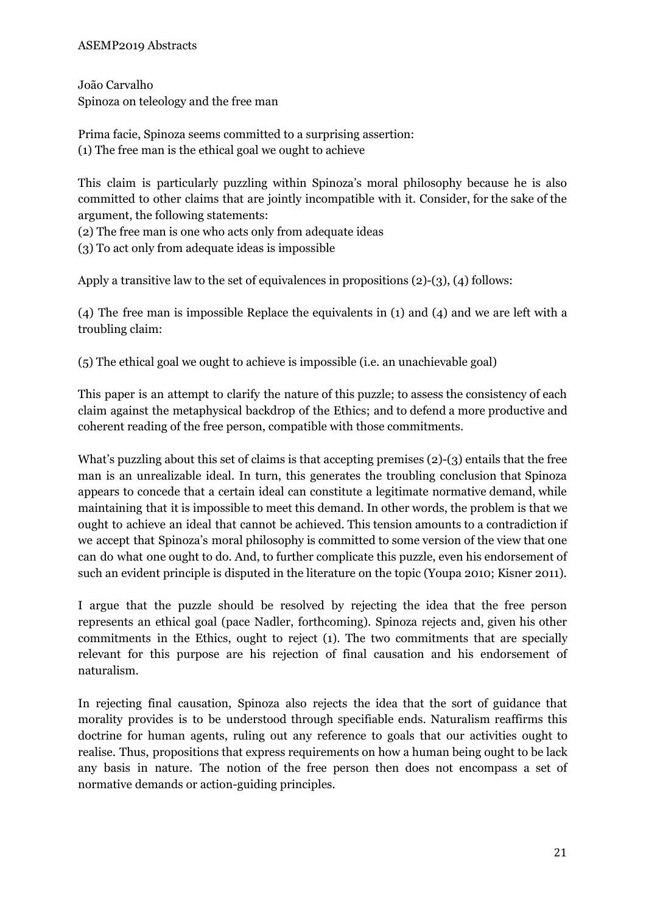### ASEMP2019 Abstracts

João Carvalho Spinoza on teleology and the free man

Prima facie, Spinoza seems committed to a surprising assertion: (1) The free man is the ethical goal we ought to achieve

This claim is particularly puzzling within Spinoza's moral philosophy because he is also committed to other claims that are jointly incompatible with it. Consider, for the sake of the argument, the following statements:

(2) The free man is one who acts only from adequate ideas

(3) To act only from adequate ideas is impossible

Apply a transitive law to the set of equivalences in propositions (2)-(3), (4) follows:

(4) The free man is impossible Replace the equivalents in (1) and (4) and we are left with a troubling claim:

(5) The ethical goal we ought to achieve is impossible (i.e. an unachievable goal)

This paper is an attempt to clarify the nature of this puzzle; to assess the consistency of each claim against the metaphysical backdrop of the Ethics; and to defend a more productive and coherent reading of the free person, compatible with those commitments.

What's puzzling about this set of claims is that accepting premises (2)-(3) entails that the free man is an unrealizable ideal. In turn, this generates the troubling conclusion that Spinoza appears to concede that a certain ideal can constitute a legitimate normative demand, while maintaining that it is impossible to meet this demand. In other words, the problem is that we ought to achieve an ideal that cannot be achieved. This tension amounts to a contradiction if we accept that Spinoza's moral philosophy is committed to some version of the view that one can do what one ought to do. And, to further complicate this puzzle, even his endorsement of such an evident principle is disputed in the literature on the topic (Youpa 2010; Kisner 2011).

I argue that the puzzle should be resolved by rejecting the idea that the free person represents an ethical goal (pace Nadler, forthcoming). Spinoza rejects and, given his other commitments in the Ethics, ought to reject (1). The two commitments that are specially relevant for this purpose are his rejection of final causation and his endorsement of naturalism.

In rejecting final causation, Spinoza also rejects the idea that the sort of guidance that morality provides is to be understood through specifiable ends. Naturalism reaffirms this doctrine for human agents, ruling out any reference to goals that our activities ought to realise. Thus, propositions that express requirements on how a human being ought to be lack any basis in nature. The notion of the free person then does not encompass a set of normative demands or action-guiding principles.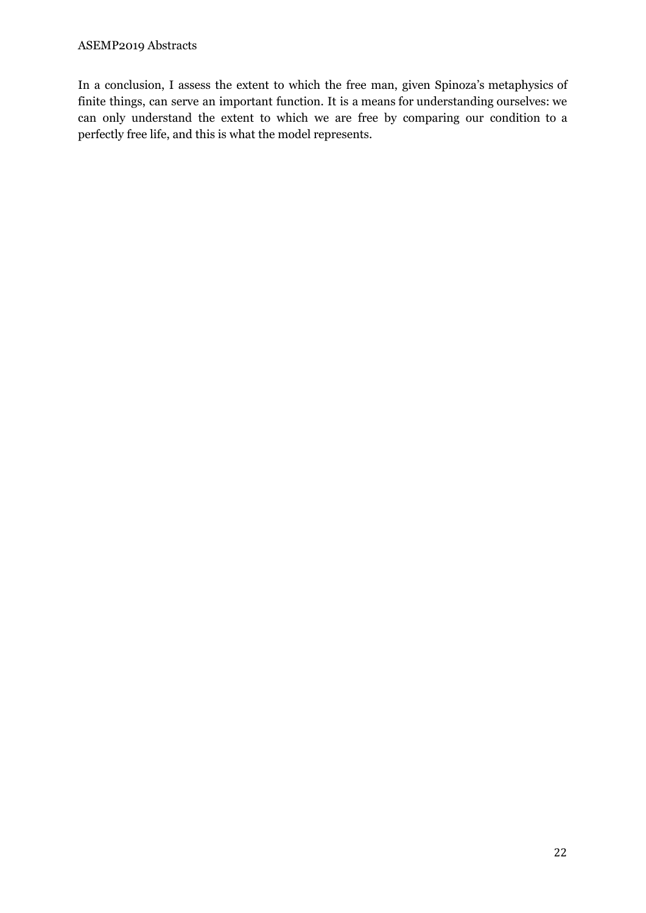In a conclusion, I assess the extent to which the free man, given Spinoza's metaphysics of finite things, can serve an important function. It is a means for understanding ourselves: we can only understand the extent to which we are free by comparing our condition to a perfectly free life, and this is what the model represents.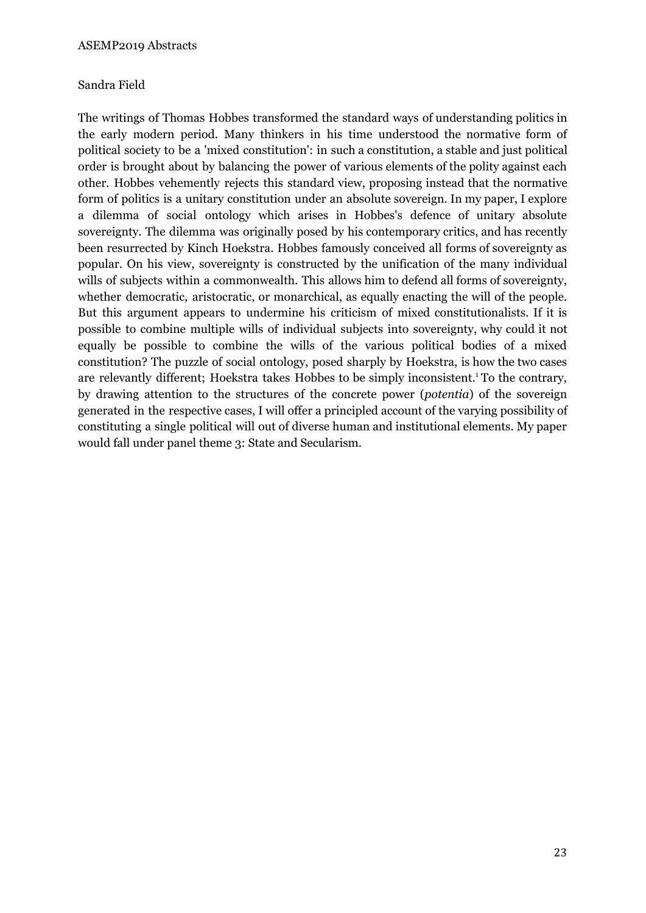# Sandra Field

The writings of Thomas Hobbes transformed the standard ways of understanding politics in the early modern period. Many thinkers in his time understood the normative form of political society to be a 'mixed constitution': in such a constitution, a stable and just political order is brought about by balancing the power of various elements of the polity against each other. Hobbes vehemently rejects this standard view, proposing instead that the normative form of politics is a unitary constitution under an absolute sovereign. In my paper, I explore a dilemma of social ontology which arises in Hobbes's defence of unitary absolute sovereignty. The dilemma was originally posed by his contemporary critics, and has recently been resurrected by Kinch Hoekstra. Hobbes famously conceived all forms of sovereignty as popular. On his view, sovereignty is constructed by the unification of the many individual wills of subjects within a commonwealth. This allows him to defend all forms of sovereignty, whether democratic, aristocratic, or monarchical, as equally enacting the will of the people. But this argument appears to undermine his criticism of mixed constitutionalists. If it is possible to combine multiple wills of individual subjects into sovereignty, why could it not equally be possible to combine the wills of the various political bodies of a mixed constitution? The puzzle of social ontology, posed sharply by Hoekstra, is how the two cases are relevantly different; Hoekstra takes Hobbes to be simply inconsistent. <sup>1</sup> To the contrary, by drawing attention to the structures of the concrete power (*potentia*) of the sovereign generated in the respective cases, I will offer a principled account of the varying possibility of constituting a single political will out of diverse human and institutional elements. My paper would fall under panel theme 3: State and Secularism.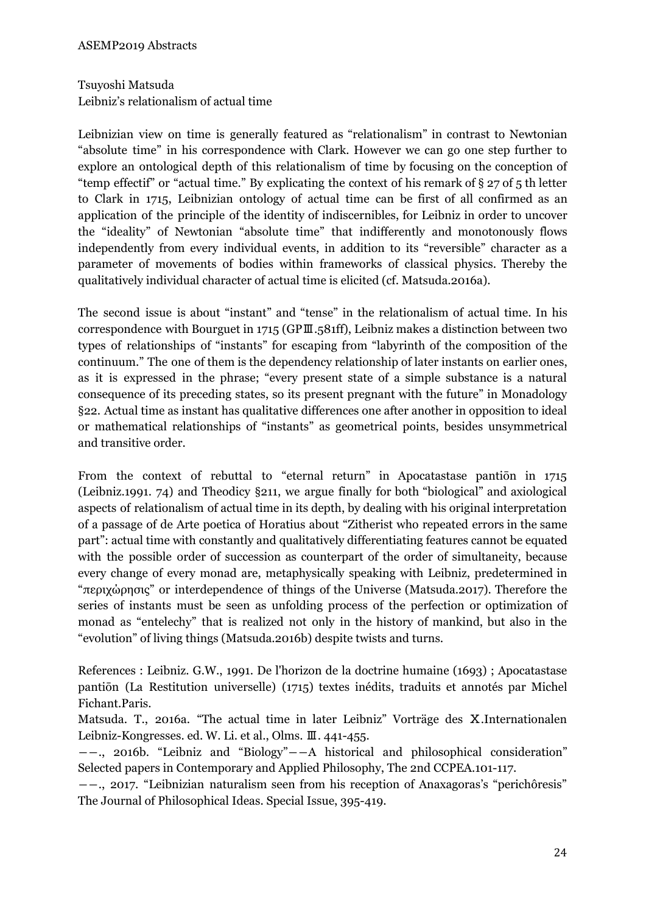Tsuyoshi Matsuda Leibniz's relationalism of actual time

Leibnizian view on time is generally featured as "relationalism" in contrast to Newtonian "absolute time" in his correspondence with Clark. However we can go one step further to explore an ontological depth of this relationalism of time by focusing on the conception of "temp effectif" or "actual time." By explicating the context of his remark of § 27 of 5 th letter to Clark in 1715, Leibnizian ontology of actual time can be first of all confirmed as an application of the principle of the identity of indiscernibles, for Leibniz in order to uncover the "ideality" of Newtonian "absolute time" that indifferently and monotonously flows independently from every individual events, in addition to its "reversible" character as a parameter of movements of bodies within frameworks of classical physics. Thereby the qualitatively individual character of actual time is elicited (cf. Matsuda.2016a).

The second issue is about "instant" and "tense" in the relationalism of actual time. In his correspondence with Bourguet in 1715 (GPⅢ.581ff), Leibniz makes a distinction between two types of relationships of "instants" for escaping from "labyrinth of the composition of the continuum." The one of them is the dependency relationship of later instants on earlier ones, as it is expressed in the phrase; "every present state of a simple substance is a natural consequence of its preceding states, so its present pregnant with the future" in Monadology §22. Actual time as instant has qualitative differences one after another in opposition to ideal or mathematical relationships of "instants" as geometrical points, besides unsymmetrical and transitive order.

From the context of rebuttal to "eternal return" in Apocatastase pantiōn in 1715 (Leibniz.1991. 74) and Theodicy §211, we argue finally for both "biological" and axiological aspects of relationalism of actual time in its depth, by dealing with his original interpretation of a passage of de Arte poetica of Horatius about "Zitherist who repeated errors in the same part": actual time with constantly and qualitatively differentiating features cannot be equated with the possible order of succession as counterpart of the order of simultaneity, because every change of every monad are, metaphysically speaking with Leibniz, predetermined in "περιχώρησις" or interdependence of things of the Universe (Matsuda.2017). Therefore the series of instants must be seen as unfolding process of the perfection or optimization of monad as "entelechy" that is realized not only in the history of mankind, but also in the "evolution" of living things (Matsuda.2016b) despite twists and turns.

References : Leibniz. G.W., 1991. De l'horizon de la doctrine humaine (1693) ; Apocatastase pantiōn (La Restitution universelle) (1715) textes inédits, traduits et annotés par Michel Fichant.Paris.

Matsuda. T., 2016a. "The actual time in later Leibniz" Vorträge des Ⅹ.Internationalen Leibniz-Kongresses. ed. W. Li. et al., Olms. Ⅲ. 441-455.

――., 2016b. "Leibniz and "Biology"――A historical and philosophical consideration" Selected papers in Contemporary and Applied Philosophy, The 2nd CCPEA.101-117.

――., 2017. "Leibnizian naturalism seen from his reception of Anaxagoras's "perichôresis" The Journal of Philosophical Ideas. Special Issue, 395-419.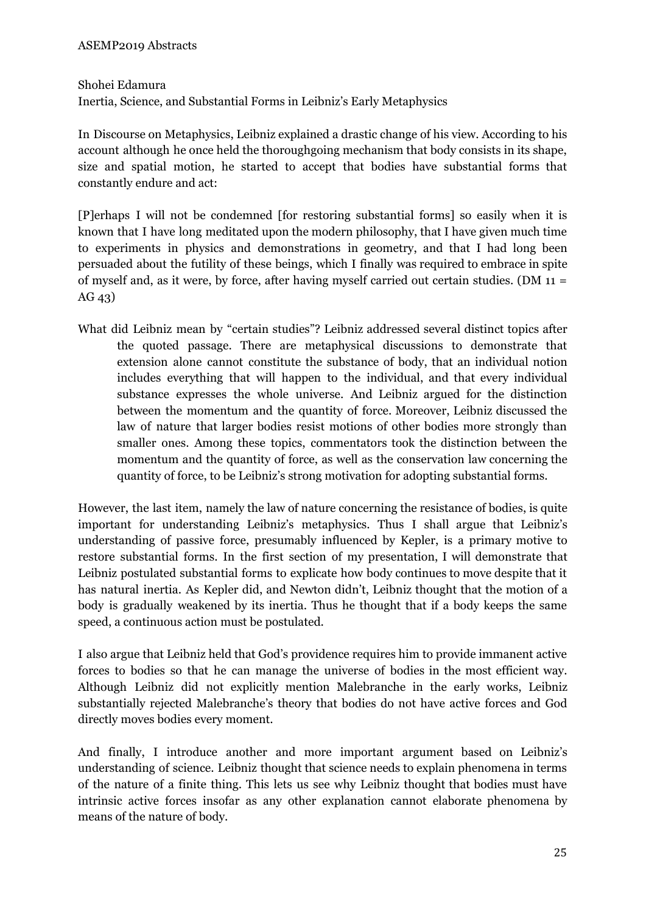Shohei Edamura

Inertia, Science, and Substantial Forms in Leibniz's Early Metaphysics

In Discourse on Metaphysics, Leibniz explained a drastic change of his view. According to his account although he once held the thoroughgoing mechanism that body consists in its shape, size and spatial motion, he started to accept that bodies have substantial forms that constantly endure and act:

[P]erhaps I will not be condemned [for restoring substantial forms] so easily when it is known that I have long meditated upon the modern philosophy, that I have given much time to experiments in physics and demonstrations in geometry, and that I had long been persuaded about the futility of these beings, which I finally was required to embrace in spite of myself and, as it were, by force, after having myself carried out certain studies. (DM 11 = AG 43)

What did Leibniz mean by "certain studies"? Leibniz addressed several distinct topics after the quoted passage. There are metaphysical discussions to demonstrate that extension alone cannot constitute the substance of body, that an individual notion includes everything that will happen to the individual, and that every individual substance expresses the whole universe. And Leibniz argued for the distinction between the momentum and the quantity of force. Moreover, Leibniz discussed the law of nature that larger bodies resist motions of other bodies more strongly than smaller ones. Among these topics, commentators took the distinction between the momentum and the quantity of force, as well as the conservation law concerning the quantity of force, to be Leibniz's strong motivation for adopting substantial forms.

However, the last item, namely the law of nature concerning the resistance of bodies, is quite important for understanding Leibniz's metaphysics. Thus I shall argue that Leibniz's understanding of passive force, presumably influenced by Kepler, is a primary motive to restore substantial forms. In the first section of my presentation, I will demonstrate that Leibniz postulated substantial forms to explicate how body continues to move despite that it has natural inertia. As Kepler did, and Newton didn't, Leibniz thought that the motion of a body is gradually weakened by its inertia. Thus he thought that if a body keeps the same speed, a continuous action must be postulated.

I also argue that Leibniz held that God's providence requires him to provide immanent active forces to bodies so that he can manage the universe of bodies in the most efficient way. Although Leibniz did not explicitly mention Malebranche in the early works, Leibniz substantially rejected Malebranche's theory that bodies do not have active forces and God directly moves bodies every moment.

And finally, I introduce another and more important argument based on Leibniz's understanding of science. Leibniz thought that science needs to explain phenomena in terms of the nature of a finite thing. This lets us see why Leibniz thought that bodies must have intrinsic active forces insofar as any other explanation cannot elaborate phenomena by means of the nature of body.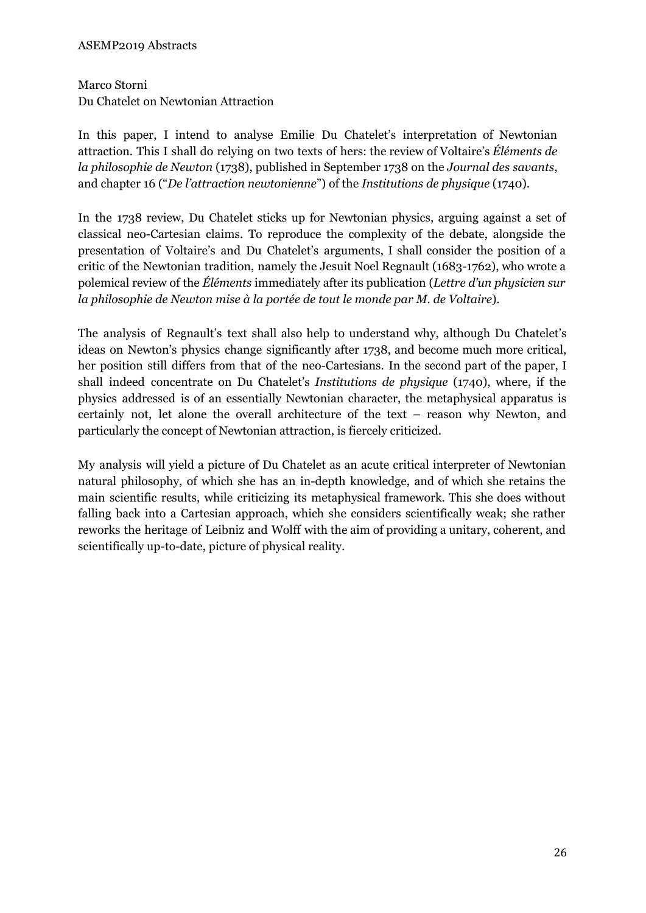#### ASEMP2019 Abstracts

# Marco Storni Du Chatelet on Newtonian Attraction

In this paper, I intend to analyse Emilie Du Chatelet's interpretation of Newtonian attraction. This I shall do relying on two texts of hers: the review of Voltaire's *Éléments de la philosophie de Newton* (1738), published in September 1738 on the *Journal des savants*, and chapter 16 ("*De l'attraction newtonienne*") of the *Institutions de physique* (1740).

In the 1738 review, Du Chatelet sticks up for Newtonian physics, arguing against a set of classical neo-Cartesian claims. To reproduce the complexity of the debate, alongside the presentation of Voltaire's and Du Chatelet's arguments, I shall consider the position of a critic of the Newtonian tradition, namely the Jesuit Noel Regnault (1683-1762), who wrote a polemical review of the *Éléments* immediately after its publication (*Lettre d'un physicien sur la philosophie de Newton mise à la portée de tout le monde par M. de Voltaire*).

The analysis of Regnault's text shall also help to understand why, although Du Chatelet's ideas on Newton's physics change significantly after 1738, and become much more critical, her position still differs from that of the neo-Cartesians. In the second part of the paper, I shall indeed concentrate on Du Chatelet's *Institutions de physique* (1740), where, if the physics addressed is of an essentially Newtonian character, the metaphysical apparatus is certainly not, let alone the overall architecture of the text – reason why Newton, and particularly the concept of Newtonian attraction, is fiercely criticized.

My analysis will yield a picture of Du Chatelet as an acute critical interpreter of Newtonian natural philosophy, of which she has an in-depth knowledge, and of which she retains the main scientific results, while criticizing its metaphysical framework. This she does without falling back into a Cartesian approach, which she considers scientifically weak; she rather reworks the heritage of Leibniz and Wolff with the aim of providing a unitary, coherent, and scientifically up-to-date, picture of physical reality.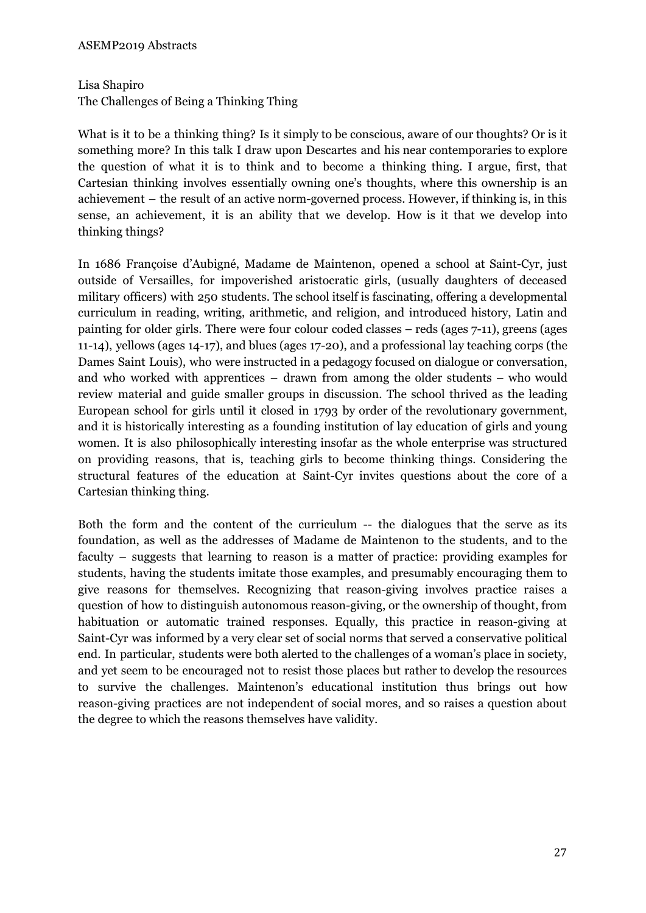Lisa Shapiro

The Challenges of Being a Thinking Thing

What is it to be a thinking thing? Is it simply to be conscious, aware of our thoughts? Or is it something more? In this talk I draw upon Descartes and his near contemporaries to explore the question of what it is to think and to become a thinking thing. I argue, first, that Cartesian thinking involves essentially owning one's thoughts, where this ownership is an achievement – the result of an active norm-governed process. However, if thinking is, in this sense, an achievement, it is an ability that we develop. How is it that we develop into thinking things?

In 1686 Françoise d'Aubigné, Madame de Maintenon, opened a school at Saint-Cyr, just outside of Versailles, for impoverished aristocratic girls, (usually daughters of deceased military officers) with 250 students. The school itself is fascinating, offering a developmental curriculum in reading, writing, arithmetic, and religion, and introduced history, Latin and painting for older girls. There were four colour coded classes – reds (ages 7-11), greens (ages 11-14), yellows (ages 14-17), and blues (ages 17-20), and a professional lay teaching corps (the Dames Saint Louis), who were instructed in a pedagogy focused on dialogue or conversation, and who worked with apprentices – drawn from among the older students – who would review material and guide smaller groups in discussion. The school thrived as the leading European school for girls until it closed in 1793 by order of the revolutionary government, and it is historically interesting as a founding institution of lay education of girls and young women. It is also philosophically interesting insofar as the whole enterprise was structured on providing reasons, that is, teaching girls to become thinking things. Considering the structural features of the education at Saint-Cyr invites questions about the core of a Cartesian thinking thing.

Both the form and the content of the curriculum -- the dialogues that the serve as its foundation, as well as the addresses of Madame de Maintenon to the students, and to the faculty – suggests that learning to reason is a matter of practice: providing examples for students, having the students imitate those examples, and presumably encouraging them to give reasons for themselves. Recognizing that reason-giving involves practice raises a question of how to distinguish autonomous reason-giving, or the ownership of thought, from habituation or automatic trained responses. Equally, this practice in reason-giving at Saint-Cyr was informed by a very clear set of social norms that served a conservative political end. In particular, students were both alerted to the challenges of a woman's place in society, and yet seem to be encouraged not to resist those places but rather to develop the resources to survive the challenges. Maintenon's educational institution thus brings out how reason-giving practices are not independent of social mores, and so raises a question about the degree to which the reasons themselves have validity.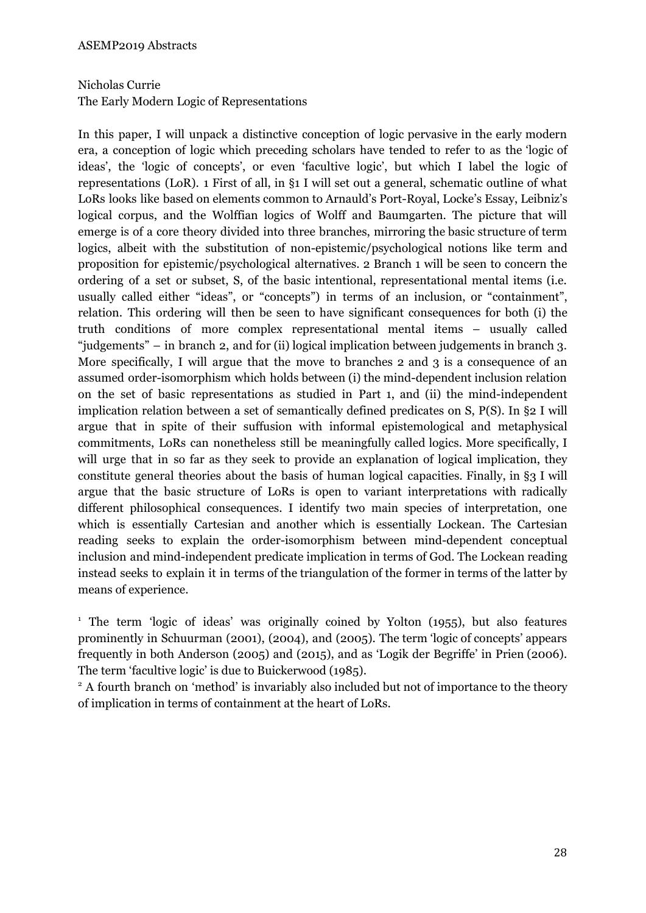# Nicholas Currie The Early Modern Logic of Representations

In this paper, I will unpack a distinctive conception of logic pervasive in the early modern era, a conception of logic which preceding scholars have tended to refer to as the 'logic of ideas', the 'logic of concepts', or even 'facultive logic', but which I label the logic of representations (LoR). 1 First of all, in §1 I will set out a general, schematic outline of what LoRs looks like based on elements common to Arnauld's Port-Royal, Locke's Essay, Leibniz's logical corpus, and the Wolffian logics of Wolff and Baumgarten. The picture that will emerge is of a core theory divided into three branches, mirroring the basic structure of term logics, albeit with the substitution of non-epistemic/psychological notions like term and proposition for epistemic/psychological alternatives. 2 Branch 1 will be seen to concern the ordering of a set or subset, S, of the basic intentional, representational mental items (i.e. usually called either "ideas", or "concepts") in terms of an inclusion, or "containment", relation. This ordering will then be seen to have significant consequences for both (i) the truth conditions of more complex representational mental items – usually called "judgements" – in branch 2, and for (ii) logical implication between judgements in branch 3. More specifically, I will argue that the move to branches 2 and 3 is a consequence of an assumed order-isomorphism which holds between (i) the mind-dependent inclusion relation on the set of basic representations as studied in Part 1, and (ii) the mind-independent implication relation between a set of semantically defined predicates on S, P(S). In §2 I will argue that in spite of their suffusion with informal epistemological and metaphysical commitments, LoRs can nonetheless still be meaningfully called logics. More specifically, I will urge that in so far as they seek to provide an explanation of logical implication, they constitute general theories about the basis of human logical capacities. Finally, in §3 I will argue that the basic structure of LoRs is open to variant interpretations with radically different philosophical consequences. I identify two main species of interpretation, one which is essentially Cartesian and another which is essentially Lockean. The Cartesian reading seeks to explain the order-isomorphism between mind-dependent conceptual inclusion and mind-independent predicate implication in terms of God. The Lockean reading instead seeks to explain it in terms of the triangulation of the former in terms of the latter by means of experience.

<sup>1</sup> The term 'logic of ideas' was originally coined by Yolton (1955), but also features prominently in Schuurman (2001), (2004), and (2005). The term 'logic of concepts' appears frequently in both Anderson (2005) and (2015), and as 'Logik der Begriffe' in Prien (2006). The term 'facultive logic' is due to Buickerwood (1985).

<sup>2</sup> A fourth branch on 'method' is invariably also included but not of importance to the theory of implication in terms of containment at the heart of LoRs.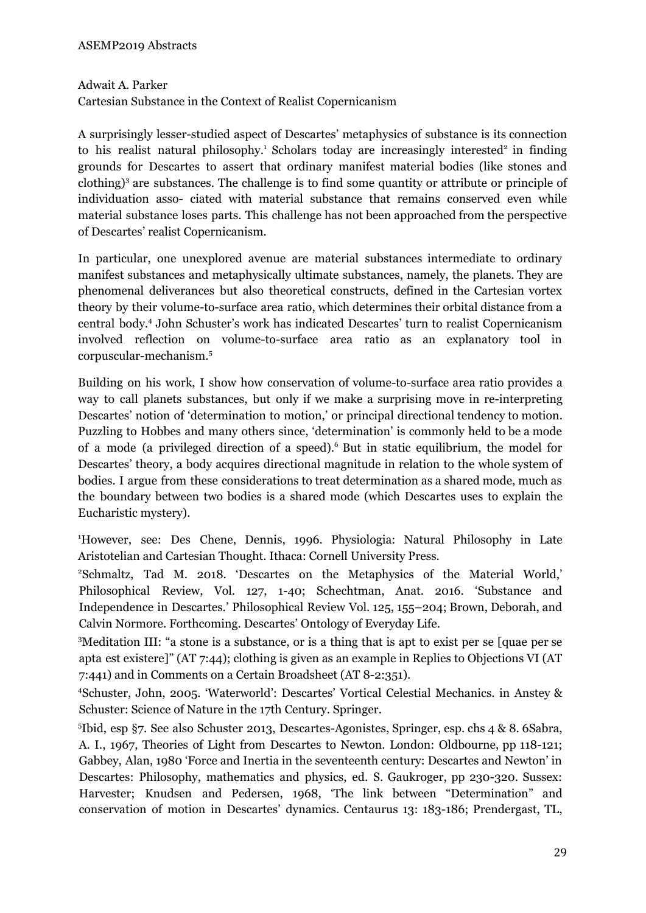#### Adwait A. Parker

Cartesian Substance in the Context of Realist Copernicanism

A surprisingly lesser-studied aspect of Descartes' metaphysics of substance is its connection to his realist natural philosophy.<sup>1</sup> Scholars today are increasingly interested<sup>2</sup> in finding grounds for Descartes to assert that ordinary manifest material bodies (like stones and clothing) <sup>3</sup> are substances. The challenge is to find some quantity or attribute or principle of individuation asso- ciated with material substance that remains conserved even while material substance loses parts. This challenge has not been approached from the perspective of Descartes' realist Copernicanism.

In particular, one unexplored avenue are material substances intermediate to ordinary manifest substances and metaphysically ultimate substances, namely, the planets. They are phenomenal deliverances but also theoretical constructs, defined in the Cartesian vortex theory by their volume-to-surface area ratio, which determines their orbital distance from a central body. <sup>4</sup> John Schuster's work has indicated Descartes' turn to realist Copernicanism involved reflection on volume-to-surface area ratio as an explanatory tool in corpuscular-mechanism. 5

Building on his work, I show how conservation of volume-to-surface area ratio provides a way to call planets substances, but only if we make a surprising move in re-interpreting Descartes' notion of 'determination to motion,' or principal directional tendency to motion. Puzzling to Hobbes and many others since, 'determination' is commonly held to be a mode of a mode (a privileged direction of a speed). <sup>6</sup> But in static equilibrium, the model for Descartes' theory, a body acquires directional magnitude in relation to the whole system of bodies. I argue from these considerations to treat determination as a shared mode, much as the boundary between two bodies is a shared mode (which Descartes uses to explain the Eucharistic mystery).

<sup>1</sup>However, see: Des Chene, Dennis, 1996. Physiologia: Natural Philosophy in Late Aristotelian and Cartesian Thought. Ithaca: Cornell University Press.

<sup>2</sup>Schmaltz, Tad M. 2018. 'Descartes on the Metaphysics of the Material World,' Philosophical Review, Vol. 127, 1-40; Schechtman, Anat. 2016. 'Substance and Independence in Descartes.' Philosophical Review Vol. 125, 155–204; Brown, Deborah, and Calvin Normore. Forthcoming. Descartes' Ontology of Everyday Life.

<sup>3</sup>Meditation III: "a stone is a substance, or is a thing that is apt to exist per se [quae per se apta est existere]" (AT 7:44); clothing is given as an example in Replies to Objections VI (AT 7:441) and in Comments on a Certain Broadsheet (AT 8-2:351).

<sup>4</sup>Schuster, John, 2005. 'Waterworld': Descartes' Vortical Celestial Mechanics. in Anstey & Schuster: Science of Nature in the 17th Century. Springer.

5 Ibid, esp §7. See also Schuster 2013, Descartes-Agonistes, Springer, esp. chs 4 & 8. 6Sabra, A. I., 1967, Theories of Light from Descartes to Newton. London: Oldbourne, pp 118-121; Gabbey, Alan, 1980 'Force and Inertia in the seventeenth century: Descartes and Newton' in Descartes: Philosophy, mathematics and physics, ed. S. Gaukroger, pp 230-320. Sussex: Harvester; Knudsen and Pedersen, 1968, 'The link between "Determination" and conservation of motion in Descartes' dynamics. Centaurus 13: 183-186; Prendergast, TL,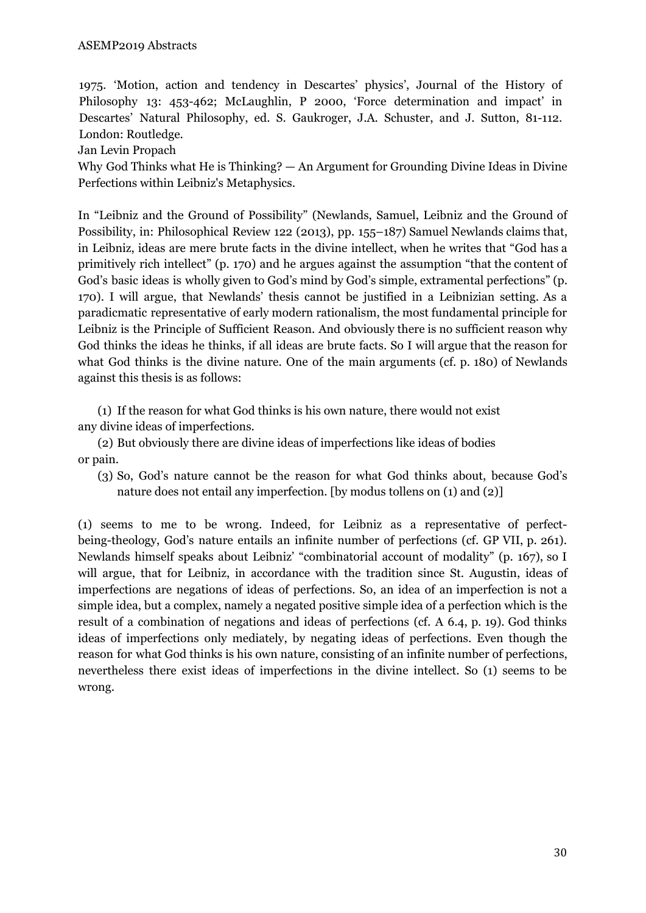1975. 'Motion, action and tendency in Descartes' physics', Journal of the History of Philosophy 13: 453-462; McLaughlin, P 2000, 'Force determination and impact' in Descartes' Natural Philosophy, ed. S. Gaukroger, J.A. Schuster, and J. Sutton, 81-112. London: Routledge.

Jan Levin Propach

Why God Thinks what He is Thinking? — An Argument for Grounding Divine Ideas in Divine Perfections within Leibniz's Metaphysics.

In "Leibniz and the Ground of Possibility" (Newlands, Samuel, Leibniz and the Ground of Possibility, in: Philosophical Review 122 (2013), pp. 155–187) Samuel Newlands claims that, in Leibniz, ideas are mere brute facts in the divine intellect, when he writes that "God has a primitively rich intellect" (p. 170) and he argues against the assumption "that the content of God's basic ideas is wholly given to God's mind by God's simple, extramental perfections" (p. 170). I will argue, that Newlands' thesis cannot be justified in a Leibnizian setting. As a paradicmatic representative of early modern rationalism, the most fundamental principle for Leibniz is the Principle of Sufficient Reason. And obviously there is no sufficient reason why God thinks the ideas he thinks, if all ideas are brute facts. So I will argue that the reason for what God thinks is the divine nature. One of the main arguments (cf. p. 180) of Newlands against this thesis is as follows:

(1) If the reason for what God thinks is his own nature, there would not exist any divine ideas of imperfections.

(2) But obviously there are divine ideas of imperfections like ideas of bodies or pain.

(3) So, God's nature cannot be the reason for what God thinks about, because God's nature does not entail any imperfection. [by modus tollens on (1) and (2)]

(1) seems to me to be wrong. Indeed, for Leibniz as a representative of perfectbeing-theology, God's nature entails an infinite number of perfections (cf. GP VII, p. 261). Newlands himself speaks about Leibniz' "combinatorial account of modality" (p. 167), so I will argue, that for Leibniz, in accordance with the tradition since St. Augustin, ideas of imperfections are negations of ideas of perfections. So, an idea of an imperfection is not a simple idea, but a complex, namely a negated positive simple idea of a perfection which is the result of a combination of negations and ideas of perfections (cf. A 6.4, p. 19). God thinks ideas of imperfections only mediately, by negating ideas of perfections. Even though the reason for what God thinks is his own nature, consisting of an infinite number of perfections, nevertheless there exist ideas of imperfections in the divine intellect. So (1) seems to be wrong.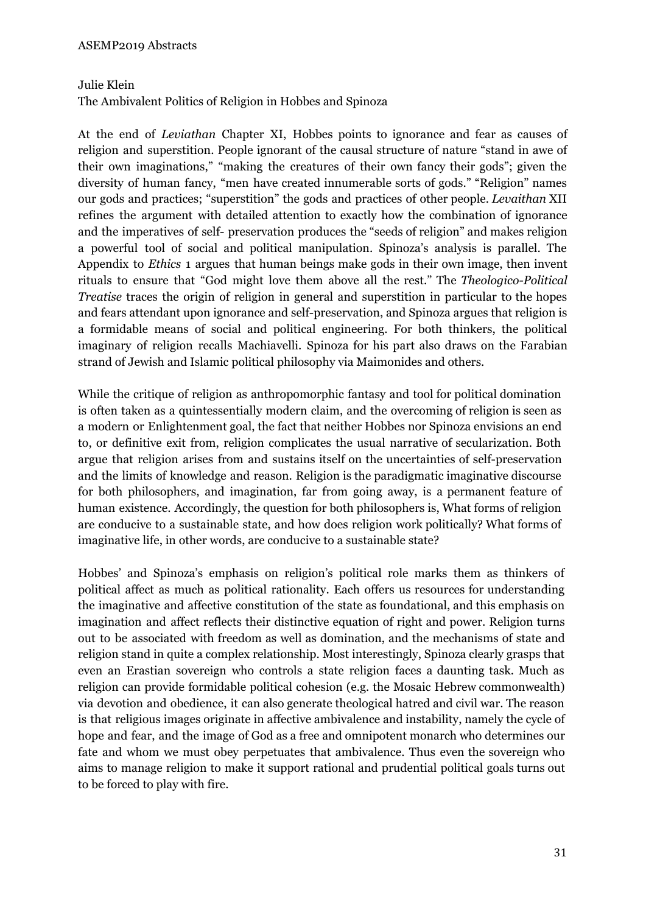# Julie Klein

The Ambivalent Politics of Religion in Hobbes and Spinoza

At the end of *Leviathan* Chapter XI, Hobbes points to ignorance and fear as causes of religion and superstition. People ignorant of the causal structure of nature "stand in awe of their own imaginations," "making the creatures of their own fancy their gods"; given the diversity of human fancy, "men have created innumerable sorts of gods." "Religion" names our gods and practices; "superstition" the gods and practices of other people. *Levaithan* XII refines the argument with detailed attention to exactly how the combination of ignorance and the imperatives of self- preservation produces the "seeds of religion" and makes religion a powerful tool of social and political manipulation. Spinoza's analysis is parallel. The Appendix to *Ethics* 1 argues that human beings make gods in their own image, then invent rituals to ensure that "God might love them above all the rest." The *Theologico-Political Treatise* traces the origin of religion in general and superstition in particular to the hopes and fears attendant upon ignorance and self-preservation, and Spinoza argues that religion is a formidable means of social and political engineering. For both thinkers, the political imaginary of religion recalls Machiavelli. Spinoza for his part also draws on the Farabian strand of Jewish and Islamic political philosophy via Maimonides and others.

While the critique of religion as anthropomorphic fantasy and tool for political domination is often taken as a quintessentially modern claim, and the overcoming of religion is seen as a modern or Enlightenment goal, the fact that neither Hobbes nor Spinoza envisions an end to, or definitive exit from, religion complicates the usual narrative of secularization. Both argue that religion arises from and sustains itself on the uncertainties of self-preservation and the limits of knowledge and reason. Religion is the paradigmatic imaginative discourse for both philosophers, and imagination, far from going away, is a permanent feature of human existence. Accordingly, the question for both philosophers is, What forms of religion are conducive to a sustainable state, and how does religion work politically? What forms of imaginative life, in other words, are conducive to a sustainable state?

Hobbes' and Spinoza's emphasis on religion's political role marks them as thinkers of political affect as much as political rationality. Each offers us resources for understanding the imaginative and affective constitution of the state as foundational, and this emphasis on imagination and affect reflects their distinctive equation of right and power. Religion turns out to be associated with freedom as well as domination, and the mechanisms of state and religion stand in quite a complex relationship. Most interestingly, Spinoza clearly grasps that even an Erastian sovereign who controls a state religion faces a daunting task. Much as religion can provide formidable political cohesion (e.g. the Mosaic Hebrew commonwealth) via devotion and obedience, it can also generate theological hatred and civil war. The reason is that religious images originate in affective ambivalence and instability, namely the cycle of hope and fear, and the image of God as a free and omnipotent monarch who determines our fate and whom we must obey perpetuates that ambivalence. Thus even the sovereign who aims to manage religion to make it support rational and prudential political goals turns out to be forced to play with fire.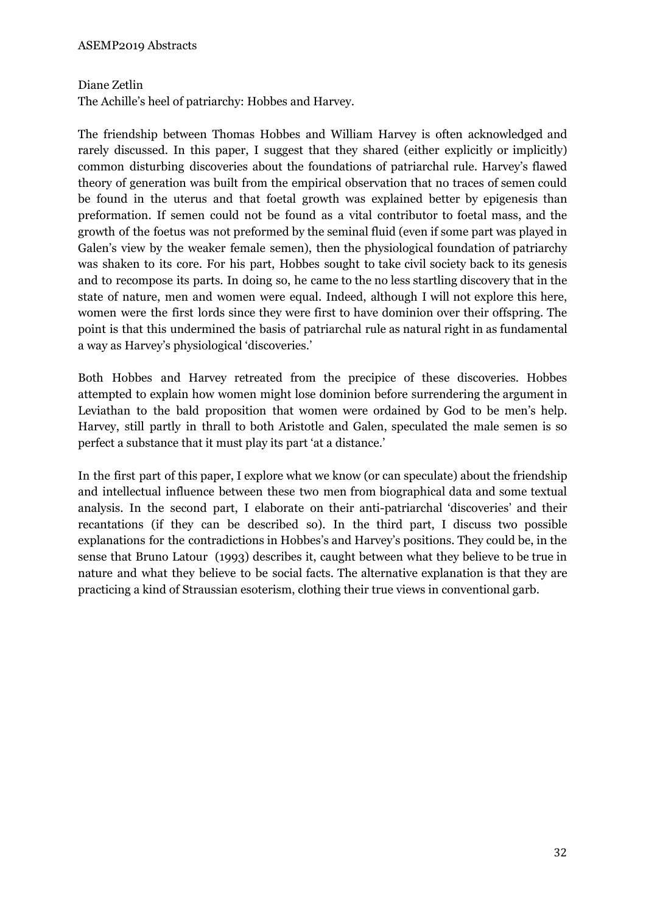# Diane Zetlin

The Achille's heel of patriarchy: Hobbes and Harvey.

The friendship between Thomas Hobbes and William Harvey is often acknowledged and rarely discussed. In this paper, I suggest that they shared (either explicitly or implicitly) common disturbing discoveries about the foundations of patriarchal rule. Harvey's flawed theory of generation was built from the empirical observation that no traces of semen could be found in the uterus and that foetal growth was explained better by epigenesis than preformation. If semen could not be found as a vital contributor to foetal mass, and the growth of the foetus was not preformed by the seminal fluid (even if some part was played in Galen's view by the weaker female semen), then the physiological foundation of patriarchy was shaken to its core. For his part, Hobbes sought to take civil society back to its genesis and to recompose its parts. In doing so, he came to the no less startling discovery that in the state of nature, men and women were equal. Indeed, although I will not explore this here, women were the first lords since they were first to have dominion over their offspring. The point is that this undermined the basis of patriarchal rule as natural right in as fundamental a way as Harvey's physiological 'discoveries.'

Both Hobbes and Harvey retreated from the precipice of these discoveries. Hobbes attempted to explain how women might lose dominion before surrendering the argument in Leviathan to the bald proposition that women were ordained by God to be men's help. Harvey, still partly in thrall to both Aristotle and Galen, speculated the male semen is so perfect a substance that it must play its part 'at a distance.'

In the first part of this paper, I explore what we know (or can speculate) about the friendship and intellectual influence between these two men from biographical data and some textual analysis. In the second part, I elaborate on their anti-patriarchal 'discoveries' and their recantations (if they can be described so). In the third part, I discuss two possible explanations for the contradictions in Hobbes's and Harvey's positions. They could be, in the sense that Bruno Latour (1993) describes it, caught between what they believe to be true in nature and what they believe to be social facts. The alternative explanation is that they are practicing a kind of Straussian esoterism, clothing their true views in conventional garb.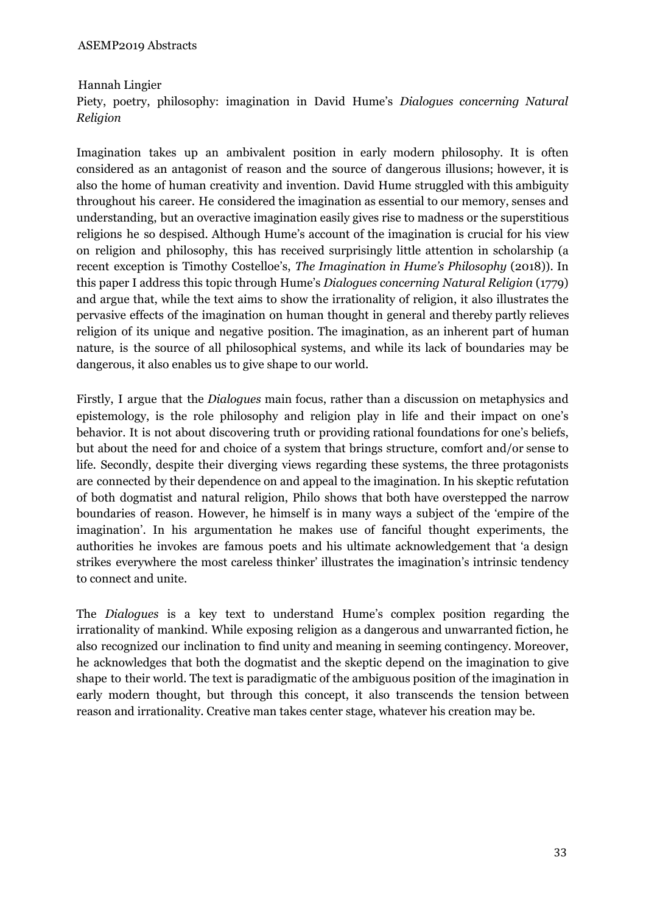# Hannah Lingier

Piety, poetry, philosophy: imagination in David Hume's *Dialogues concerning Natural Religion*

Imagination takes up an ambivalent position in early modern philosophy. It is often considered as an antagonist of reason and the source of dangerous illusions; however, it is also the home of human creativity and invention. David Hume struggled with this ambiguity throughout his career. He considered the imagination as essential to our memory, senses and understanding, but an overactive imagination easily gives rise to madness or the superstitious religions he so despised. Although Hume's account of the imagination is crucial for his view on religion and philosophy, this has received surprisingly little attention in scholarship (a recent exception is Timothy Costelloe's, *The Imagination in Hume's Philosophy* (2018)). In this paper I address this topic through Hume's *Dialogues concerning Natural Religion* (1779) and argue that, while the text aims to show the irrationality of religion, it also illustrates the pervasive effects of the imagination on human thought in general and thereby partly relieves religion of its unique and negative position. The imagination, as an inherent part of human nature, is the source of all philosophical systems, and while its lack of boundaries may be dangerous, it also enables us to give shape to our world.

Firstly, I argue that the *Dialogues* main focus, rather than a discussion on metaphysics and epistemology, is the role philosophy and religion play in life and their impact on one's behavior. It is not about discovering truth or providing rational foundations for one's beliefs, but about the need for and choice of a system that brings structure, comfort and/or sense to life. Secondly, despite their diverging views regarding these systems, the three protagonists are connected by their dependence on and appeal to the imagination. In his skeptic refutation of both dogmatist and natural religion, Philo shows that both have overstepped the narrow boundaries of reason. However, he himself is in many ways a subject of the 'empire of the imagination'. In his argumentation he makes use of fanciful thought experiments, the authorities he invokes are famous poets and his ultimate acknowledgement that 'a design strikes everywhere the most careless thinker' illustrates the imagination's intrinsic tendency to connect and unite.

The *Dialogues* is a key text to understand Hume's complex position regarding the irrationality of mankind. While exposing religion as a dangerous and unwarranted fiction, he also recognized our inclination to find unity and meaning in seeming contingency. Moreover, he acknowledges that both the dogmatist and the skeptic depend on the imagination to give shape to their world. The text is paradigmatic of the ambiguous position of the imagination in early modern thought, but through this concept, it also transcends the tension between reason and irrationality. Creative man takes center stage, whatever his creation may be.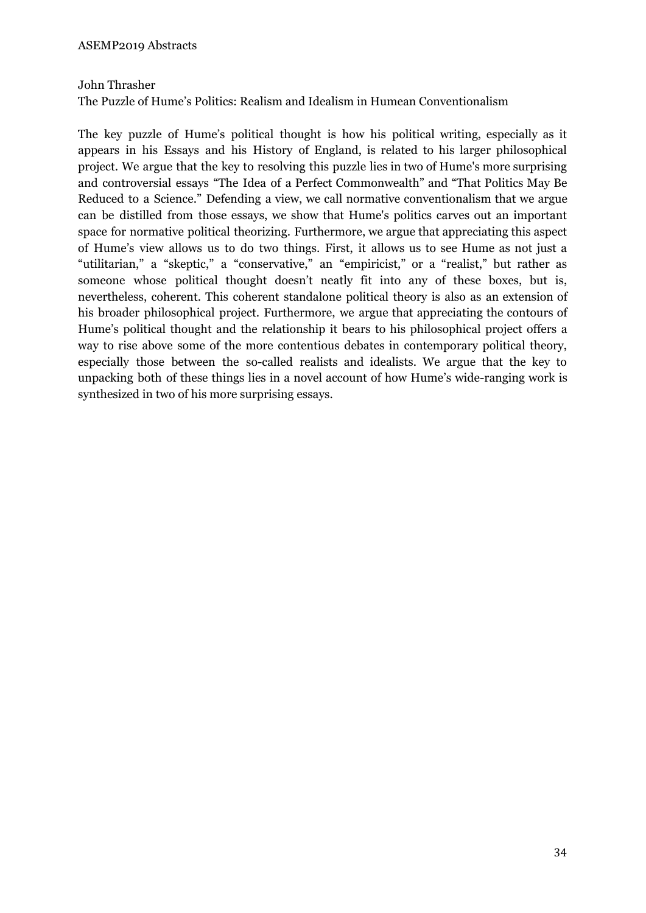# John Thrasher

The Puzzle of Hume's Politics: Realism and Idealism in Humean Conventionalism

The key puzzle of Hume's political thought is how his political writing, especially as it appears in his Essays and his History of England, is related to his larger philosophical project. We argue that the key to resolving this puzzle lies in two of Hume's more surprising and controversial essays "The Idea of a Perfect Commonwealth" and "That Politics May Be Reduced to a Science." Defending a view, we call normative conventionalism that we argue can be distilled from those essays, we show that Hume's politics carves out an important space for normative political theorizing. Furthermore, we argue that appreciating this aspect of Hume's view allows us to do two things. First, it allows us to see Hume as not just a "utilitarian," a "skeptic," a "conservative," an "empiricist," or a "realist," but rather as someone whose political thought doesn't neatly fit into any of these boxes, but is, nevertheless, coherent. This coherent standalone political theory is also as an extension of his broader philosophical project. Furthermore, we argue that appreciating the contours of Hume's political thought and the relationship it bears to his philosophical project offers a way to rise above some of the more contentious debates in contemporary political theory, especially those between the so-called realists and idealists. We argue that the key to unpacking both of these things lies in a novel account of how Hume's wide-ranging work is synthesized in two of his more surprising essays.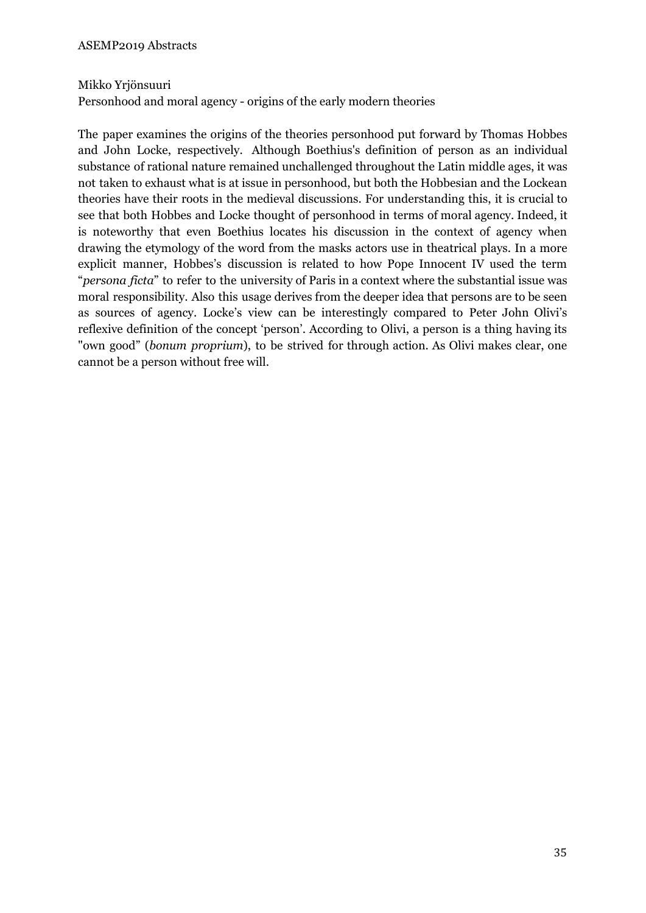# Mikko Yrjönsuuri

Personhood and moral agency - origins of the early modern theories

The paper examines the origins of the theories personhood put forward by Thomas Hobbes and John Locke, respectively. Although Boethius's definition of person as an individual substance of rational nature remained unchallenged throughout the Latin middle ages, it was not taken to exhaust what is at issue in personhood, but both the Hobbesian and the Lockean theories have their roots in the medieval discussions. For understanding this, it is crucial to see that both Hobbes and Locke thought of personhood in terms of moral agency. Indeed, it is noteworthy that even Boethius locates his discussion in the context of agency when drawing the etymology of the word from the masks actors use in theatrical plays. In a more explicit manner, Hobbes's discussion is related to how Pope Innocent IV used the term "*persona ficta*" to refer to the university of Paris in a context where the substantial issue was moral responsibility. Also this usage derives from the deeper idea that persons are to be seen as sources of agency. Locke's view can be interestingly compared to Peter John Olivi's reflexive definition of the concept 'person'. According to Olivi, a person is a thing having its "own good" (*bonum proprium*), to be strived for through action. As Olivi makes clear, one cannot be a person without free will.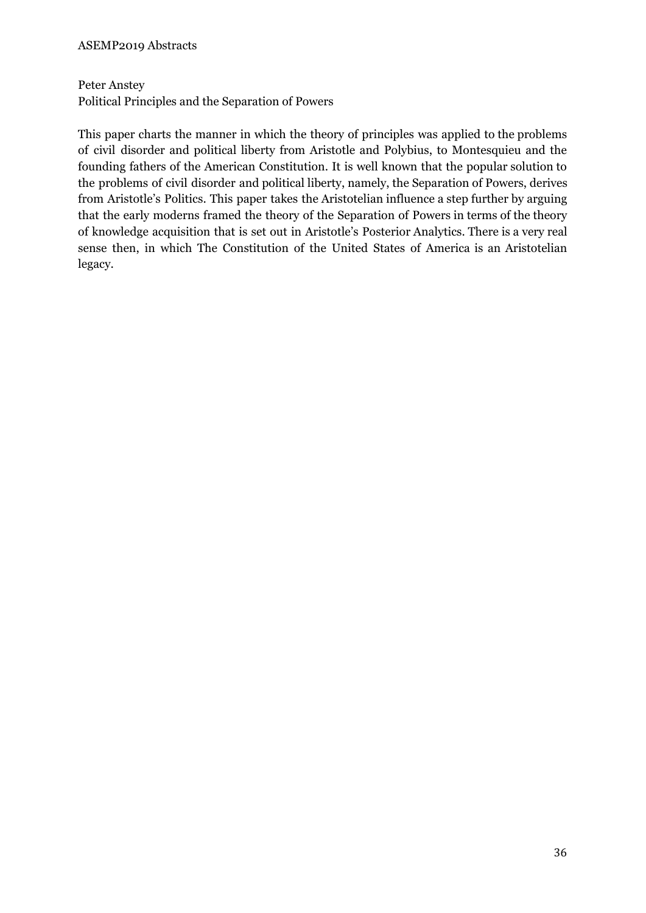Peter Anstey Political Principles and the Separation of Powers

This paper charts the manner in which the theory of principles was applied to the problems of civil disorder and political liberty from Aristotle and Polybius, to Montesquieu and the founding fathers of the American Constitution. It is well known that the popular solution to the problems of civil disorder and political liberty, namely, the Separation of Powers, derives from Aristotle's Politics. This paper takes the Aristotelian influence a step further by arguing that the early moderns framed the theory of the Separation of Powers in terms of the theory of knowledge acquisition that is set out in Aristotle's Posterior Analytics. There is a very real sense then, in which The Constitution of the United States of America is an Aristotelian legacy.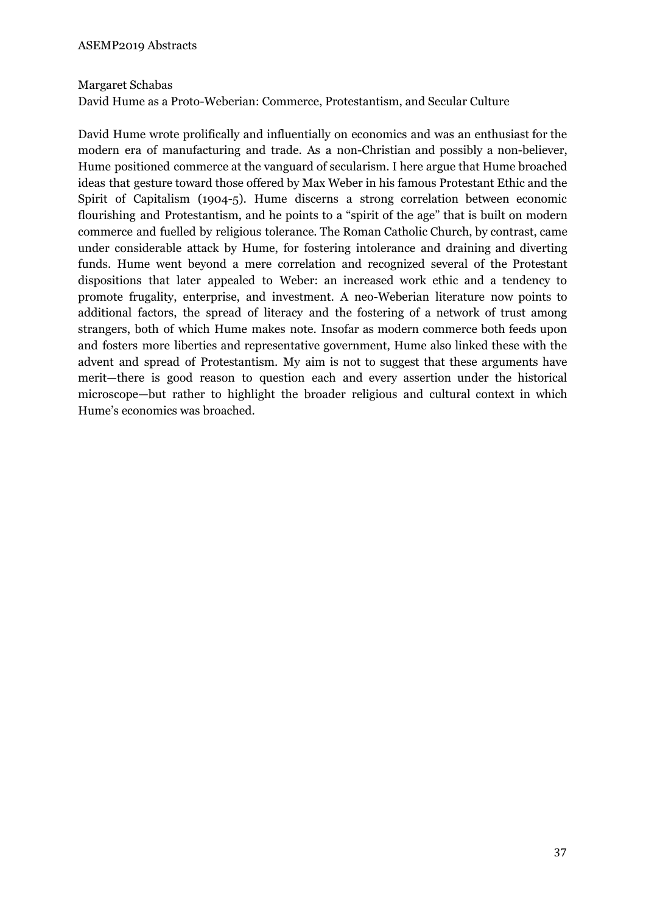#### Margaret Schabas

David Hume as a Proto-Weberian: Commerce, Protestantism, and Secular Culture

David Hume wrote prolifically and influentially on economics and was an enthusiast for the modern era of manufacturing and trade. As a non-Christian and possibly a non-believer, Hume positioned commerce at the vanguard of secularism. I here argue that Hume broached ideas that gesture toward those offered by Max Weber in his famous Protestant Ethic and the Spirit of Capitalism (1904-5). Hume discerns a strong correlation between economic flourishing and Protestantism, and he points to a "spirit of the age" that is built on modern commerce and fuelled by religious tolerance. The Roman Catholic Church, by contrast, came under considerable attack by Hume, for fostering intolerance and draining and diverting funds. Hume went beyond a mere correlation and recognized several of the Protestant dispositions that later appealed to Weber: an increased work ethic and a tendency to promote frugality, enterprise, and investment. A neo-Weberian literature now points to additional factors, the spread of literacy and the fostering of a network of trust among strangers, both of which Hume makes note. Insofar as modern commerce both feeds upon and fosters more liberties and representative government, Hume also linked these with the advent and spread of Protestantism. My aim is not to suggest that these arguments have merit—there is good reason to question each and every assertion under the historical microscope—but rather to highlight the broader religious and cultural context in which Hume's economics was broached.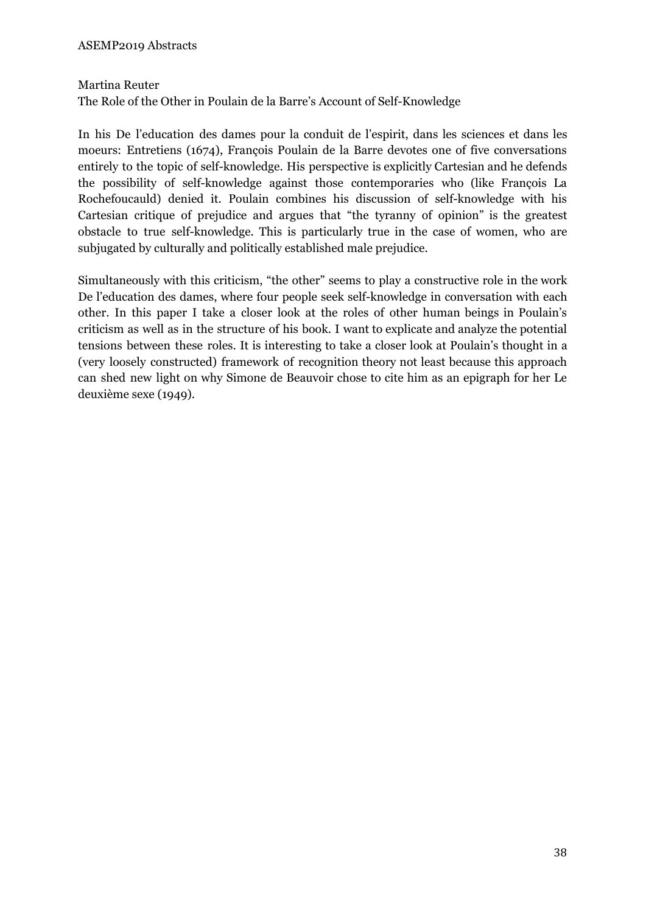# Martina Reuter

The Role of the Other in Poulain de la Barre's Account of Self-Knowledge

In his De l'education des dames pour la conduit de l'espirit, dans les sciences et dans les moeurs: Entretiens (1674), François Poulain de la Barre devotes one of five conversations entirely to the topic of self-knowledge. His perspective is explicitly Cartesian and he defends the possibility of self-knowledge against those contemporaries who (like François La Rochefoucauld) denied it. Poulain combines his discussion of self-knowledge with his Cartesian critique of prejudice and argues that "the tyranny of opinion" is the greatest obstacle to true self-knowledge. This is particularly true in the case of women, who are subjugated by culturally and politically established male prejudice.

Simultaneously with this criticism, "the other" seems to play a constructive role in the work De l'education des dames, where four people seek self-knowledge in conversation with each other. In this paper I take a closer look at the roles of other human beings in Poulain's criticism as well as in the structure of his book. I want to explicate and analyze the potential tensions between these roles. It is interesting to take a closer look at Poulain's thought in a (very loosely constructed) framework of recognition theory not least because this approach can shed new light on why Simone de Beauvoir chose to cite him as an epigraph for her Le deuxième sexe (1949).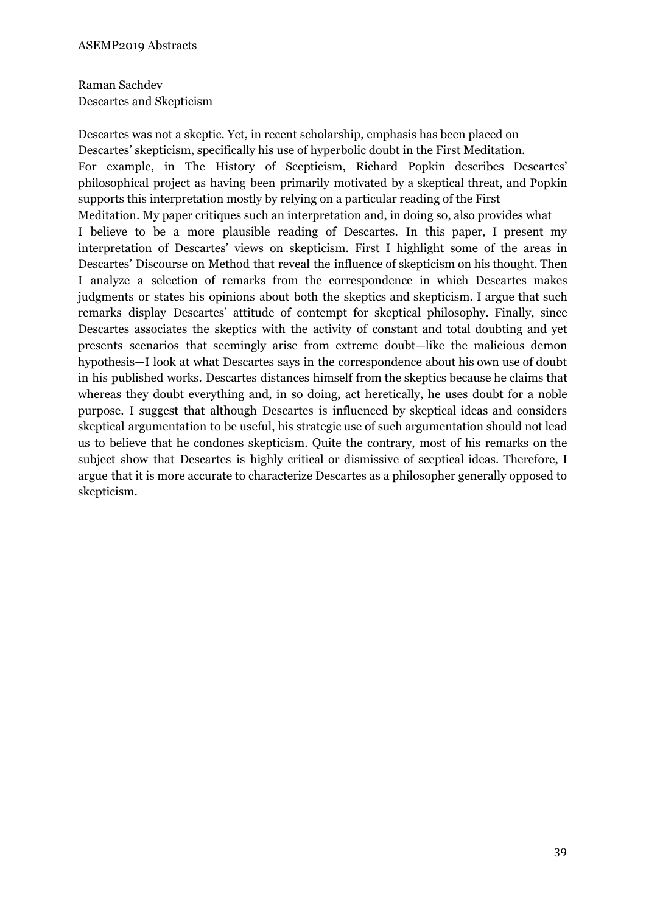# Raman Sachdev Descartes and Skepticism

Descartes was not a skeptic. Yet, in recent scholarship, emphasis has been placed on Descartes' skepticism, specifically his use of hyperbolic doubt in the First Meditation. For example, in The History of Scepticism, Richard Popkin describes Descartes' philosophical project as having been primarily motivated by a skeptical threat, and Popkin supports this interpretation mostly by relying on a particular reading of the First Meditation. My paper critiques such an interpretation and, in doing so, also provides what I believe to be a more plausible reading of Descartes. In this paper, I present my interpretation of Descartes' views on skepticism. First I highlight some of the areas in Descartes' Discourse on Method that reveal the influence of skepticism on his thought. Then I analyze a selection of remarks from the correspondence in which Descartes makes judgments or states his opinions about both the skeptics and skepticism. I argue that such remarks display Descartes' attitude of contempt for skeptical philosophy. Finally, since Descartes associates the skeptics with the activity of constant and total doubting and yet presents scenarios that seemingly arise from extreme doubt—like the malicious demon hypothesis—I look at what Descartes says in the correspondence about his own use of doubt in his published works. Descartes distances himself from the skeptics because he claims that whereas they doubt everything and, in so doing, act heretically, he uses doubt for a noble purpose. I suggest that although Descartes is influenced by skeptical ideas and considers skeptical argumentation to be useful, his strategic use of such argumentation should not lead us to believe that he condones skepticism. Quite the contrary, most of his remarks on the subject show that Descartes is highly critical or dismissive of sceptical ideas. Therefore, I argue that it is more accurate to characterize Descartes as a philosopher generally opposed to skepticism.